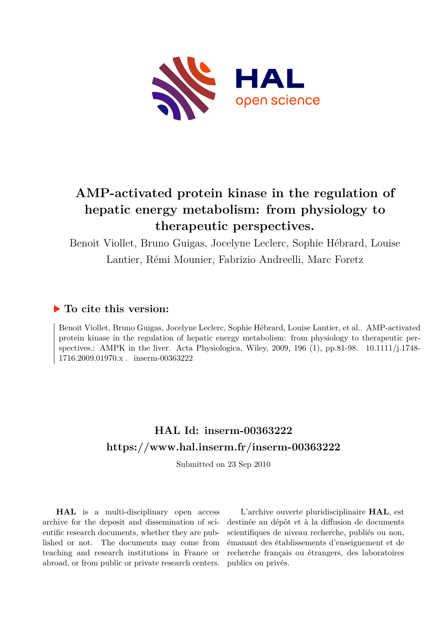

# **AMP-activated protein kinase in the regulation of hepatic energy metabolism: from physiology to therapeutic perspectives.**

Benoit Viollet, Bruno Guigas, Jocelyne Leclerc, Sophie Hébrard, Louise Lantier, Rémi Mounier, Fabrizio Andreelli, Marc Foretz

## **To cite this version:**

Benoit Viollet, Bruno Guigas, Jocelyne Leclerc, Sophie Hébrard, Louise Lantier, et al.. AMP-activated protein kinase in the regulation of hepatic energy metabolism: from physiology to therapeutic perspectives.: AMPK in the liver. Acta Physiologica, Wiley, 2009, 196 (1), pp.81-98.  $10.1111/j.1748-$ 1716.2009.01970.x . inserm-00363222

## **HAL Id: inserm-00363222 <https://www.hal.inserm.fr/inserm-00363222>**

Submitted on 23 Sep 2010

**HAL** is a multi-disciplinary open access archive for the deposit and dissemination of scientific research documents, whether they are published or not. The documents may come from teaching and research institutions in France or abroad, or from public or private research centers.

L'archive ouverte pluridisciplinaire **HAL**, est destinée au dépôt et à la diffusion de documents scientifiques de niveau recherche, publiés ou non, émanant des établissements d'enseignement et de recherche français ou étrangers, des laboratoires publics ou privés.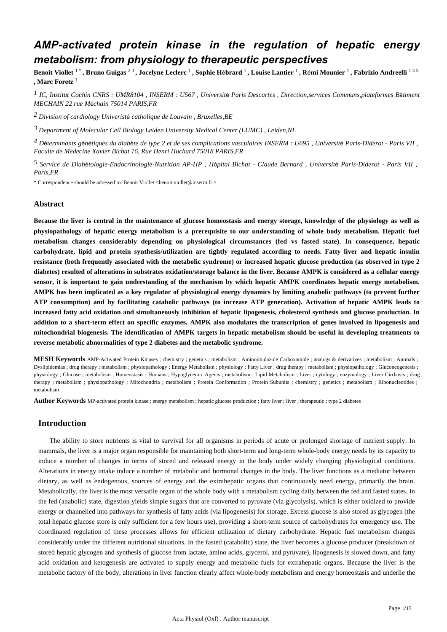## *AMP-activated protein kinase in the regulation of hepatic energy metabolism: from physiology to therapeutic perspectives*

**Benoit Viollet** 1 \* **, Bruno Guigas** 2 3 **, Jocelyne Leclerc** <sup>1</sup> **, Sophie H**é**brard** <sup>1</sup> **, Louise Lantier** <sup>1</sup> **, R**é**mi Mounier** <sup>1</sup> **, Fabrizio Andreelli** 1 4 5 **, Marc Foretz** <sup>1</sup>

*IC, Institut Cochin 1 CNRS : UMR8104 , INSERM : U567 , Universit*é *Paris Descartes , Direction,services Communs,plateformes B*â*timent MECHAIN 22 rue M*é*chain 75014 PARIS,FR*

*Division of cardiology 2 Univerist*é *catholique de Louvain , Bruxelles,BE*

<sup>3</sup> Department of Molecular Cell Biology Leiden University Medical Center (LUMC), Leiden,NL

*D terminants g n tiques du diab te de type 2 et de ses complications vasculaires 4* <sup>é</sup> <sup>é</sup> <sup>é</sup> <sup>è</sup> *INSERM : U695 , Universit*é *Paris-Diderot - Paris VII , Faculte de Medecine Xavier Bichat 16, Rue Henri Huchard 75018 PARIS,FR*

*Service de Diab tologie-Endocrinologie-Nutrition 5* <sup>é</sup> *AP-HP , H*ô*pital Bichat - Claude Bernard , Universit*é *Paris-Diderot - Paris VII , Paris,FR*

\* Correspondence should be adressed to: Benoit Viollet <benoit.viollet@inserm.fr >

### **Abstract**

**Because the liver is central in the maintenance of glucose homeostasis and energy storage, knowledge of the physiology as well as physiopathology of hepatic energy metabolism is a prerequisite to our understanding of whole body metabolism. Hepatic fuel metabolism changes considerably depending on physiological circumstances (fed vs fasted state). In consequence, hepatic carbohydrate, lipid and protein synthesis/utilization are tightly regulated according to needs. Fatty liver and hepatic insulin resistance (both frequently associated with the metabolic syndrome) or increased hepatic glucose production (as observed in type 2 diabetes) resulted of alterations in substrates oxidation/storage balance in the liver. Because AMPK is considered as a cellular energy sensor, it is important to gain understanding of the mechanism by which hepatic AMPK coordinates hepatic energy metabolism. AMPK has been implicated as a key regulator of physiological energy dynamics by limiting anabolic pathways (to prevent further ATP consumption) and by facilitating catabolic pathways (to increase ATP generation). Activation of hepatic AMPK leads to increased fatty acid oxidation and simultaneously inhibition of hepatic lipogenesis, cholesterol synthesis and glucose production. In addition to a short-term effect on specific enzymes, AMPK also modulates the transcription of genes involved in lipogenesis and mitochondrial biogenesis. The identification of AMPK targets in hepatic metabolism should be useful in developing treatments to reverse metabolic abnormalities of type 2 diabetes and the metabolic syndrome.**

**MESH Keywords** AMP-Activated Protein Kinases ; chemistry ; genetics ; metabolism ; Aminoimidazole Carboxamide ; analogs & derivatives ; metabolism ; Animals ; Dyslipidemias ; drug therapy ; metabolism ; physiopathology ; Energy Metabolism ; physiology ; Fatty Liver ; drug therapy ; metabolism ; physiopathology ; Gluconeogenesis ; physiology ; Glucose ; metabolism ; Homeostasis ; Humans ; Hypoglycemic Agents ; metabolism ; Lipid Metabolism ; Liver ; cytology ; enzymology ; Liver Cirrhosis ; drug therapy ; metabolism ; physiopathology ; Mitochondria ; metabolism ; Protein Conformation ; Protein Subunits ; chemistry ; genetics ; metabolism ; Ribonucleotides ; metabolism

**Author Keywords** MP-activated protein kinase ; energy metabolism ; hepatic glucose production ; fatty liver ; liver ; therapeutic ; type 2 diabetes

## **Introduction**

The ability to store nutrients is vital to survival for all organisms in periods of acute or prolonged shortage of nutrient supply. In mammals, the liver is a major organ responsible for maintaining both short-term and long-term whole-body energy needs by its capacity to induce a number of changes in terms of stored and released energy in the body under widely changing physiological conditions. Alterations in energy intake induce a number of metabolic and hormonal changes in the body. The liver functions as a mediator between dietary, as well as endogenous, sources of energy and the extrahepatic organs that continuously need energy, primarily the brain. Metabolically, the liver is the most versatile organ of the whole body with a metabolism cycling daily between the fed and fasted states. In the fed (anabolic) state, digestion yields simple sugars that are converted to pyruvate (via glycolysis), which is either oxidized to provide energy or channelled into pathways for synthesis of fatty acids (via lipogenesis) for storage. Excess glucose is also stored as glycogen (the total hepatic glucose store is only sufficient for a few hours use), providing a short-term source of carbohydrates for emergency use. The coordinated regulation of these processes allows for efficient utilization of dietary carbohydrate. Hepatic fuel metabolism changes considerably under the different nutritional situations. In the fasted (catabolic) state, the liver becomes a glucose producer (breakdown of stored hepatic glycogen and synthesis of glucose from lactate, amino acids, glycerol, and pyruvate), lipogenesis is slowed down, and fatty acid oxidation and ketogenesis are activated to supply energy and metabolic fuels for extrahepatic organs. Because the liver is the metabolic factory of the body, alterations in liver function clearly affect whole-body metabolism and energy homeostasis and underlie the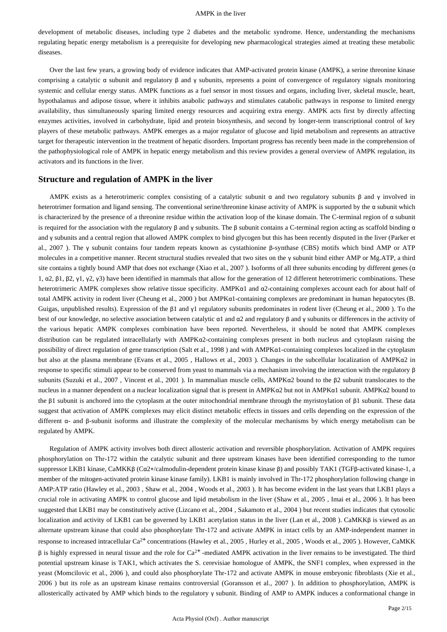development of metabolic diseases, including type 2 diabetes and the metabolic syndrome. Hence, understanding the mechanisms regulating hepatic energy metabolism is a prerequisite for developing new pharmacological strategies aimed at treating these metabolic diseases.

Over the last few years, a growing body of evidence indicates that AMP-activated protein kinase (AMPK), a serine threonine kinase comprising a catalytic α subunit and regulatory β and γ subunits, represents a point of convergence of regulatory signals monitoring systemic and cellular energy status. AMPK functions as a fuel sensor in most tissues and organs, including liver, skeletal muscle, heart, hypothalamus and adipose tissue, where it inhibits anabolic pathways and stimulates catabolic pathways in response to limited energy availability, thus simultaneously sparing limited energy resources and acquiring extra energy. AMPK acts first by directly affecting enzymes activities, involved in carbohydrate, lipid and protein biosynthesis, and second by longer-term transcriptional control of key players of these metabolic pathways. AMPK emerges as a major regulator of glucose and lipid metabolism and represents an attractive target for therapeutic intervention in the treatment of hepatic disorders. Important progress has recently been made in the comprehension of the pathophysiological role of AMPK in hepatic energy metabolism and this review provides a general overview of AMPK regulation, its activators and its functions in the liver.

## **Structure and regulation of AMPK in the liver**

AMPK exists as a heterotrimeric complex consisting of a catalytic subunit  $\alpha$  and two regulatory subunits β and γ involved in heterotrimer formation and ligand sensing. The conventional serine/threonine kinase activity of AMPK is supported by the α subunit which is characterized by the presence of a threonine residue within the activation loop of the kinase domain. The C-terminal region of α subunit is required for the association with the regulatory β and γ subunits. The β subunit contains a C-terminal region acting as scaffold binding α and γ subunits and a central region that allowed AMPK complex to bind glycogen but this has been recently disputed in the liver (Parker et al., 2007 ). The γ subunit contains four tandem repeats known as cystathionine β-synthase (CBS) motifs which bind AMP or ATP molecules in a competitive manner. Recent structural studies revealed that two sites on the γ subunit bind either AMP or Mg.ATP, a third site contains a tightly bound AMP that does not exchange (Xiao et al., 2007). Isoforms of all three subunits encoding by different genes (α 1, α2, β1, β2, γ1, γ2, γ3) have been identified in mammals that allow for the generation of 12 different heterotrimeric combinations. These heterotrimeric AMPK complexes show relative tissue specificity. AMPKα1 and α2-containing complexes account each for about half of total AMPK activity in rodent liver (Cheung et al., 2000 ) but AMPKα1-containing complexes are predominant in human hepatocytes (B. Guigas, unpublished results). Expression of the β1 and γ1 regulatory subunits predominates in rodent liver (Cheung et al., 2000 ). To the best of our knowledge, no selective association between catalytic α1 and α2 and regulatory β and γ subunits or differences in the activity of the various hepatic AMPK complexes combination have been reported. Nevertheless, it should be noted that AMPK complexes distribution can be regulated intracellularly with AMPKα2-containing complexes present in both nucleus and cytoplasm raising the possibility of direct regulation of gene transcription (Salt et al., 1998 ) and with AMPKα1-containing complexes localized in the cytoplasm but also at the plasma membrane (Evans et al., 2005 , Hallows et al., 2003 ). Changes in the subcellular localization of AMPKα2 in response to specific stimuli appear to be conserved from yeast to mammals via a mechanism involving the interaction with the regulatory β subunits (Suzuki et al., 2007 , Vincent et al., 2001 ). In mammalian muscle cells, AMPKα2 bound to the β2 subunit translocates to the nucleus in a manner dependent on a nuclear localization signal that is present in AMPKα2 but not in AMPKα1 subunit. AMPKα2 bound to the β1 subunit is anchored into the cytoplasm at the outer mitochondrial membrane through the myristoylation of β1 subunit. These data suggest that activation of AMPK complexes may elicit distinct metabolic effects in tissues and cells depending on the expression of the different α- and β-subunit isoforms and illustrate the complexity of the molecular mechanisms by which energy metabolism can be regulated by AMPK.

Regulation of AMPK activity involves both direct allosteric activation and reversible phosphorylation. Activation of AMPK requires phosphorylation on Thr-172 within the catalytic subunit and three upstream kinases have been identified corresponding to the tumor suppressor LKB1 kinase, CaMKKβ (Cα2+/calmodulin-dependent protein kinase kinase β) and possibly TAK1 (TGFβ-activated kinase-1, a member of the mitogen-activated protein kinase kinase family). LKB1 is mainly involved in Thr-172 phosphorylation following change in AMP:ATP ratio (Hawley et al., 2003 , Shaw et al., 2004 , Woods et al., 2003 ). It has become evident in the last years that LKB1 plays a crucial role in activating AMPK to control glucose and lipid metabolism in the liver (Shaw et al., 2005 , Imai et al., 2006 ). It has been suggested that LKB1 may be constitutively active (Lizcano et al., 2004 , Sakamoto et al., 2004 ) but recent studies indicates that cytosolic localization and activity of LKB1 can be governed by LKB1 acetylation status in the liver (Lan et al., 2008 ). CaMKKβ is viewed as an alternate upstream kinase that could also phosphorylate Thr-172 and activate AMPK in intact cells by an AMP-independent manner in response to increased intracellular  $Ca^{2+}$  concentrations (Hawley et al., 2005, Hurley et al., 2005, Woods et al., 2005). However, CaMKK  $β$  is highly expressed in neural tissue and the role for Ca<sup>2+</sup> -mediated AMPK activation in the liver remains to be investigated. The third potential upstream kinase is TAK1, which activates the S. cerevisiae homologue of AMPK, the SNF1 complex, when expressed in the yeast (Momcilovic et al., 2006 ), and could also phosphorylate Thr-172 and activate AMPK in mouse embryonic fibroblasts (Xie et al., 2006 ) but its role as an upstream kinase remains controversial (Goransson et al., 2007 ). In addition to phosphorylation, AMPK is allosterically activated by AMP which binds to the regulatory γ subunit. Binding of AMP to AMPK induces a conformational change in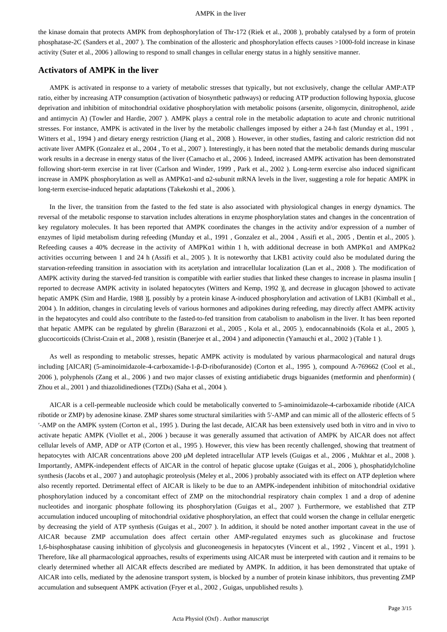the kinase domain that protects AMPK from dephosphorylation of Thr-172 (Riek et al., 2008 ), probably catalysed by a form of protein phosphatase-2C (Sanders et al., 2007 ). The combination of the allosteric and phosphorylation effects causes >1000-fold increase in kinase activity (Suter et al., 2006 ) allowing to respond to small changes in cellular energy status in a highly sensitive manner.

## **Activators of AMPK in the liver**

AMPK is activated in response to a variety of metabolic stresses that typically, but not exclusively, change the cellular AMP:ATP ratio, either by increasing ATP consumption (activation of biosynthetic pathways) or reducing ATP production following hypoxia, glucose deprivation and inhibition of mitochondrial oxidative phosphorylation with metabolic poisons (arsenite, oligomycin, dinitrophenol, azide and antimycin A) (Towler and Hardie, 2007 ). AMPK plays a central role in the metabolic adaptation to acute and chronic nutritional stresses. For instance, AMPK is activated in the liver by the metabolic challenges imposed by either a 24-h fast (Munday et al., 1991 , Witters et al., 1994 ) and dietary energy restriction (Jiang et al., 2008 ). However, in other studies, fasting and caloric restriction did not activate liver AMPK (Gonzalez et al., 2004 , To et al., 2007 ). Interestingly, it has been noted that the metabolic demands during muscular work results in a decrease in energy status of the liver (Camacho et al., 2006 ). Indeed, increased AMPK activation has been demonstrated following short-term exercise in rat liver (Carlson and Winder, 1999 , Park et al., 2002 ). Long-term exercise also induced significant increase in AMPK phosphorylation as well as AMPKα1-and α2-subunit mRNA levels in the liver, suggesting a role for hepatic AMPK in long-term exercise-induced hepatic adaptations (Takekoshi et al., 2006 ).

In the liver, the transition from the fasted to the fed state is also associated with physiological changes in energy dynamics. The reversal of the metabolic response to starvation includes alterations in enzyme phosphorylation states and changes in the concentration of key regulatory molecules. It has been reported that AMPK coordinates the changes in the activity and/or expression of a number of enzymes of lipid metabolism during refeeding (Munday et al., 1991 , Gonzalez et al., 2004 , Assifi et al., 2005 , Dentin et al., 2005 ). Refeeding causes a 40% decrease in the activity of AMPKα1 within 1 h, with additional decrease in both AMPKα1 and AMPKα2 activities occurring between 1 and 24 h (Assifi et al., 2005 ). It is noteworthy that LKB1 activity could also be modulated during the starvation-refeeding transition in association with its acetylation and intracellular localization (Lan et al., 2008 ). The modification of AMPK activity during the starved-fed transition is compatible with earlier studies that linked these changes to increase in plasma insulin [ reported to decrease AMPK activity in isolated hepatocytes (Witters and Kemp, 1992 )], and decrease in glucagon [showed to activate hepatic AMPK (Sim and Hardie, 1988)], possibly by a protein kinase A-induced phosphorylation and activation of LKB1 (Kimball et al., 2004 ). In addition, changes in circulating levels of various hormones and adipokines during refeeding, may directly affect AMPK activity in the hepatocytes and could also contribute to the fasted-to-fed transition from catabolism to anabolism in the liver. It has been reported that hepatic AMPK can be regulated by ghrelin (Barazzoni et al., 2005 , Kola et al., 2005 ), endocannabinoids (Kola et al., 2005 ), glucocorticoids (Christ-Crain et al., 2008 ), resistin (Banerjee et al., 2004 ) and adiponectin (Yamauchi et al., 2002 ) (Table 1 ).

As well as responding to metabolic stresses, hepatic AMPK activity is modulated by various pharmacological and natural drugs including [AICAR] (5-aminoimidazole-4-carboxamide-1-β-D-ribofuranoside) (Corton et al., 1995 ), compound A-769662 (Cool et al., 2006 ), polyphenols (Zang et al., 2006 ) and two major classes of existing antidiabetic drugs biguanides (metformin and phenformin) ( Zhou et al., 2001 ) and thiazolidinediones (TZDs) (Saha et al., 2004 ).

AICAR is a cell-permeable nucleoside which could be metabolically converted to 5-aminoimidazole-4-carboxamide ribotide (AICA ribotide or ZMP) by adenosine kinase. ZMP shares some structural similarities with 5′-AMP and can mimic all of the allosteric effects of 5 ′-AMP on the AMPK system (Corton et al., 1995 ). During the last decade, AICAR has been extensively used both in vitro and in vivo to activate hepatic AMPK (Viollet et al., 2006 ) because it was generally assumed that activation of AMPK by AICAR does not affect cellular levels of AMP, ADP or ATP (Corton et al., 1995 ). However, this view has been recently challenged, showing that treatment of hepatocytes with AICAR concentrations above 200 μM depleted intracellular ATP levels (Guigas et al., 2006 , Mukhtar et al., 2008 ). Importantly, AMPK-independent effects of AICAR in the control of hepatic glucose uptake (Guigas et al., 2006 ), phosphatidylcholine synthesis (Jacobs et al., 2007 ) and autophagic proteolysis (Meley et al., 2006 ) probably associated with its effect on ATP depletion where also recently reported. Detrimental effect of AICAR is likely to be due to an AMPK-independent inhibition of mitochondrial oxidative phosphorylation induced by a concomitant effect of ZMP on the mitochondrial respiratory chain complex 1 and a drop of adenine nucleotides and inorganic phosphate following its phosphorylation (Guigas et al., 2007 ). Furthermore, we established that ZTP accumulation induced uncoupling of mitochondrial oxidative phosphorylation, an effect that could worsen the change in cellular energetic by decreasing the yield of ATP synthesis (Guigas et al., 2007 ). In addition, it should be noted another important caveat in the use of AICAR because ZMP accumulation does affect certain other AMP-regulated enzymes such as glucokinase and fructose 1,6-bisphosphatase causing inhibition of glycolysis and gluconeogenesis in hepatocytes (Vincent et al., 1992 , Vincent et al., 1991 ). Therefore, like all pharmacological approaches, results of experiments using AICAR must be interpreted with caution and it remains to be clearly determined whether all AICAR effects described are mediated by AMPK. In addition, it has been demonstrated that uptake of AICAR into cells, mediated by the adenosine transport system, is blocked by a number of protein kinase inhibitors, thus preventing ZMP accumulation and subsequent AMPK activation (Fryer et al., 2002 , Guigas, unpublished results ).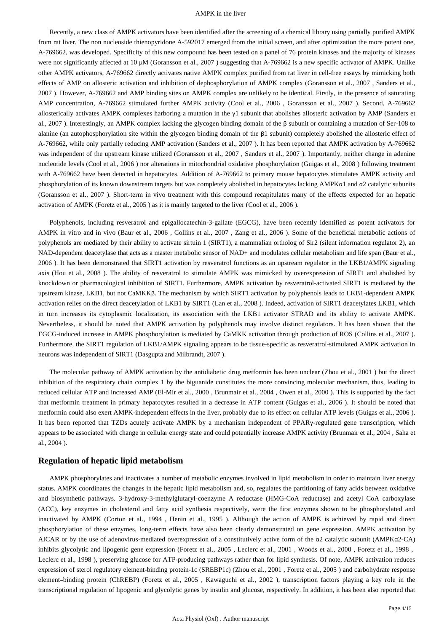Recently, a new class of AMPK activators have been identified after the screening of a chemical library using partially purified AMPK from rat liver. The non nucleoside thienopyridone A-592017 emerged from the initial screen, and after optimization the more potent one, A-769662, was developed. Specificity of this new compound has been tested on a panel of 76 protein kinases and the majority of kinases were not significantly affected at 10 μM (Goransson et al., 2007 ) suggesting that A-769662 is a new specific activator of AMPK. Unlike other AMPK activators, A-769662 directly activates native AMPK complex purified from rat liver in cell-free essays by mimicking both effects of AMP on allosteric activation and inhibition of dephosphorylation of AMPK complex (Goransson et al., 2007 , Sanders et al., 2007 ). However, A-769662 and AMP binding sites on AMPK complex are unlikely to be identical. Firstly, in the presence of saturating AMP concentration, A-769662 stimulated further AMPK activity (Cool et al., 2006 , Goransson et al., 2007 ). Second, A-769662 allosterically activates AMPK complexes harboring a mutation in the γ1 subunit that abolishes allosteric activation by AMP (Sanders et al., 2007 ). Interestingly, an AMPK complex lacking the glycogen binding domain of the β subunit or containing a mutation of Ser-108 to alanine (an autophosphorylation site within the glycogen binding domain of the β1 subunit) completely abolished the allosteric effect of A-769662, while only partially reducing AMP activation (Sanders et al., 2007 ). It has been reported that AMPK activation by A-769662 was independent of the upstream kinase utilized (Goransson et al., 2007 , Sanders et al., 2007 ). Importantly, neither change in adenine nucleotide levels (Cool et al., 2006 ) nor alterations in mitochondrial oxidative phosphorylation (Guigas et al., 2008 ) following treatment with A-769662 have been detected in hepatocytes. Addition of A-769662 to primary mouse hepatocytes stimulates AMPK activity and phosphorylation of its known downstream targets but was completely abolished in hepatocytes lacking AMPKα1 and α2 catalytic subunits (Goransson et al., 2007 ). Short-term in vivo treatment with this compound recapitulates many of the effects expected for an hepatic activation of AMPK (Foretz et al., 2005 ) as it is mainly targeted to the liver (Cool et al., 2006 ).

Polyphenols, including resveratrol and epigallocatechin-3-gallate (EGCG), have been recently identified as potent activators for AMPK in vitro and in vivo (Baur et al., 2006 , Collins et al., 2007 , Zang et al., 2006 ). Some of the beneficial metabolic actions of polyphenols are mediated by their ability to activate sirtuin 1 (SIRT1), a mammalian ortholog of Sir2 (silent information regulator 2), an NAD-dependent deacetylase that acts as a master metabolic sensor of NAD+ and modulates cellular metabolism and life span (Baur et al., 2006 ). It has been demonstrated that SIRT1 activation by resveratrol functions as an upstream regulator in the LKB1/AMPK signaling axis (Hou et al., 2008 ). The ability of resveratrol to stimulate AMPK was mimicked by overexpression of SIRT1 and abolished by knockdown or pharmacological inhibition of SIRT1. Furthermore, AMPK activation by resveratrol-activated SIRT1 is mediated by the upstream kinase, LKB1, but not CaMKKβ. The mechanism by which SIRT1 activation by polyphenols leads to LKB1-dependent AMPK activation relies on the direct deacetylation of LKB1 by SIRT1 (Lan et al., 2008 ). Indeed, activation of SIRT1 deacetylates LKB1, which in turn increases its cytoplasmic localization, its association with the LKB1 activator STRAD and its ability to activate AMPK. Nevertheless, it should be noted that AMPK activation by polyphenols may involve distinct regulators. It has been shown that the EGCG-induced increase in AMPK phosphorylation is mediated by CaMKK activation through production of ROS (Collins et al., 2007 ). Furthermore, the SIRT1 regulation of LKB1/AMPK signaling appears to be tissue-specific as resveratrol-stimulated AMPK activation in neurons was independent of SIRT1 (Dasgupta and Milbrandt, 2007 ).

The molecular pathway of AMPK activation by the antidiabetic drug metformin has been unclear (Zhou et al., 2001 ) but the direct inhibition of the respiratory chain complex 1 by the biguanide constitutes the more convincing molecular mechanism, thus, leading to reduced cellular ATP and increased AMP (El-Mir et al., 2000 , Brunmair et al., 2004 , Owen et al., 2000 ). This is supported by the fact that metformin treatment in primary hepatocytes resulted in a decrease in ATP content (Guigas et al., 2006 ). It should be noted that metformin could also exert AMPK-independent effects in the liver, probably due to its effect on cellular ATP levels (Guigas et al., 2006 ). It has been reported that TZDs acutely activate AMPK by a mechanism independent of PPAR<sub>Y</sub>-regulated gene transcription, which appears to be associated with change in cellular energy state and could potentially increase AMPK activity (Brunmair et al., 2004 , Saha et al., 2004 ).

## **Regulation of hepatic lipid metabolism**

AMPK phosphorylates and inactivates a number of metabolic enzymes involved in lipid metabolism in order to maintain liver energy status. AMPK coordinates the changes in the hepatic lipid metabolism and, so, regulates the partitioning of fatty acids between oxidative and biosynthetic pathways. 3-hydroxy-3-methylglutaryl-coenzyme A reductase (HMG-CoA reductase) and acetyl CoA carboxylase (ACC), key enzymes in cholesterol and fatty acid synthesis respectively, were the first enzymes shown to be phosphorylated and inactivated by AMPK (Corton et al., 1994 , Henin et al., 1995 ). Although the action of AMPK is achieved by rapid and direct phosphorylation of these enzymes, long-term effects have also been clearly demonstrated on gene expression. AMPK activation by AICAR or by the use of adenovirus-mediated overexpression of a constitutively active form of the α2 catalytic subunit (AMPKα2-CA) inhibits glycolytic and lipogenic gene expression (Foretz et al., 2005 , Leclerc et al., 2001 , Woods et al., 2000 , Foretz et al., 1998 , Leclerc et al., 1998 ), preserving glucose for ATP-producing pathways rather than for lipid synthesis. Of note, AMPK activation reduces expression of sterol regulatory element-binding protein-1c (SREBP1c) (Zhou et al., 2001 , Foretz et al., 2005 ) and carbohydrate response element–binding protein (ChREBP) (Foretz et al., 2005 , Kawaguchi et al., 2002 ), transcription factors playing a key role in the transcriptional regulation of lipogenic and glycolytic genes by insulin and glucose, respectively. In addition, it has been also reported that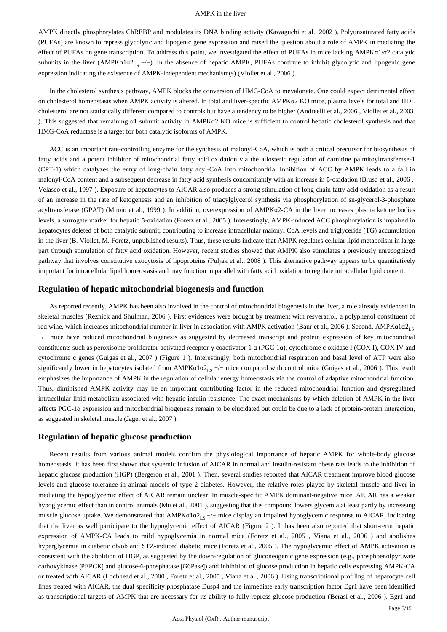AMPK directly phosphorylates ChREBP and modulates its DNA binding activity (Kawaguchi et al., 2002 ). Polyunsaturated fatty acids (PUFAs) are known to repress glycolytic and lipogenic gene expression and raised the question about a role of AMPK in mediating the effect of PUFAs on gene transcription. To address this point, we investigated the effect of PUFAs in mice lacking AMPKα1/α2 catalytic subunits in the liver (AMPK $\alpha$ 1 $\alpha$ 2<sub>1s</sub> −/−). In the absence of hepatic AMPK, PUFAs continue to inhibit glycolytic and lipogenic gene expression indicating the existence of AMPK-independent mechanism(s) (Viollet et al., 2006 ).

In the cholesterol synthesis pathway, AMPK blocks the conversion of HMG-CoA to mevalonate. One could expect detrimental effect on cholesterol homeostasis when AMPK activity is altered. In total and liver-specific AMPKα2 KO mice, plasma levels for total and HDL cholesterol are not statistically different compared to controls but have a tendency to be higher (Andreelli et al., 2006 , Viollet et al., 2003 ). This suggested that remaining α1 subunit activity in AMPKα2 KO mice is sufficient to control hepatic cholesterol synthesis and that HMG-CoA reductase is a target for both catalytic isoforms of AMPK.

ACC is an important rate-controlling enzyme for the synthesis of malonyl-CoA, which is both a critical precursor for biosynthesis of fatty acids and a potent inhibitor of mitochondrial fatty acid oxidation via the allosteric regulation of carnitine palmitoyltransferase-1 (CPT-1) which catalyzes the entry of long-chain fatty acyl-CoA into mitochondria. Inhibition of ACC by AMPK leads to a fall in malonyl-CoA content and a subsequent decrease in fatty acid synthesis concomitantly with an increase in β-oxidation (Brusq et al., 2006 , Velasco et al., 1997 ). Exposure of hepatocytes to AICAR also produces a strong stimulation of long-chain fatty acid oxidation as a result of an increase in the rate of ketogenesis and an inhibition of triacylglycerol synthesis via phosphorylation of sn-glycerol-3-phosphate acyltransferase (GPAT) (Muoio et al., 1999 ). In addition, overexpression of AMPKα2-CA in the liver increases plasma ketone bodies levels, a surrogate marker for hepatic β-oxidation (Foretz et al., 2005 ). Interestingly, AMPK-induced ACC phosphorylation is impaired in hepatocytes deleted of both catalytic subunit, contributing to increase intracellular malonyl CoA levels and triglyceride (TG) accumulation in the liver (B. Viollet, M. Foretz, unpublished results). Thus, these results indicate that AMPK regulates cellular lipid metabolism in large part through stimulation of fatty acid oxidation. However, recent studies showed that AMPK also stimulates a previously unrecognized pathway that involves constitutive exocytosis of lipoproteins (Puljak et al., 2008 ). This alternative pathway appears to be quantitatively important for intracellular lipid homeostasis and may function in parallel with fatty acid oxidation to regulate intracellular lipid content.

### **Regulation of hepatic mitochondrial biogenesis and function**

As reported recently, AMPK has been also involved in the control of mitochondrial biogenesis in the liver, a role already evidenced in skeletal muscles (Reznick and Shulman, 2006 ). First evidences were brought by treatment with resveratrol, a polyphenol constituent of red wine, which increases mitochondrial number in liver in association with AMPK activation (Baur et al., 2006). Second, AMPKα1α2<sub>LS</sub> −/− mice have reduced mitochondrial biogenesis as suggested by decreased transcript and protein expression of key mitochondrial constituents such as peroxisome proliferator-activated receptor-γ coactivator-1 α (PGC-1α), cytochrome c oxidase I (COX I), COX IV and cytochrome c genes (Guigas et al., 2007 ) (Figure 1 ). Interestingly, both mitochondrial respiration and basal level of ATP were also significantly lower in hepatocytes isolated from AMPK $\alpha$ 1 $\alpha$ <sub>1s</sub> −/− mice compared with control mice (Guigas et al., 2006). This result emphasizes the importance of AMPK in the regulation of cellular energy homeostasis via the control of adaptive mitochondrial function. Thus, diminished AMPK activity may be an important contributing factor in the reduced mitochondrial function and dysregulated intracellular lipid metabolism associated with hepatic insulin resistance. The exact mechanisms by which deletion of AMPK in the liver affects PGC-1α expression and mitochondrial biogenesis remain to be elucidated but could be due to a lack of protein-protein interaction, as suggested in skeletal muscle (Jager et al., 2007 ).

## **Regulation of hepatic glucose production**

Recent results from various animal models confirm the physiological importance of hepatic AMPK for whole-body glucose homeostasis. It has been first shown that systemic infusion of AICAR in normal and insulin-resistant obese rats leads to the inhibition of hepatic glucose production (HGP) (Bergeron et al., 2001 ). Then, several studies reported that AICAR treatment improve blood glucose levels and glucose tolerance in animal models of type 2 diabetes. However, the relative roles played by skeletal muscle and liver in mediating the hypoglycemic effect of AICAR remain unclear. In muscle-specific AMPK dominant-negative mice, AICAR has a weaker hypoglycemic effect than in control animals (Mu et al., 2001 ), suggesting that this compound lowers glycemia at least partly by increasing muscle glucose uptake. We demonstrated that AMPKα1α2<sub>1s</sub> −/− mice display an impaired hypoglycemic response to AICAR, indicating that the liver as well participate to the hypoglycemic effect of AICAR (Figure 2 ). It has been also reported that short-term hepatic expression of AMPK-CA leads to mild hypoglycemia in normal mice (Foretz et al., 2005 , Viana et al., 2006 ) and abolishes hyperglycemia in diabetic ob/ob and STZ-induced diabetic mice (Foretz et al., 2005 ). The hypoglycemic effect of AMPK activation is consistent with the abolition of HGP, as suggested by the down-regulation of gluconeogenic gene expression (e.g., phosphoenolpyruvate carboxykinase [PEPCK] and glucose-6-phosphatase [G6Pase]) and inhibition of glucose production in hepatic cells expressing AMPK-CA or treated with AICAR (Lochhead et al., 2000 , Foretz et al., 2005 , Viana et al., 2006 ). Using transcriptional profiling of hepatocyte cell lines treated with AICAR, the dual specificity phosphatase Dusp4 and the immediate early transcription factor Egr1 have been identified as transcriptional targets of AMPK that are necessary for its ability to fully repress glucose production (Berasi et al., 2006 ). Egr1 and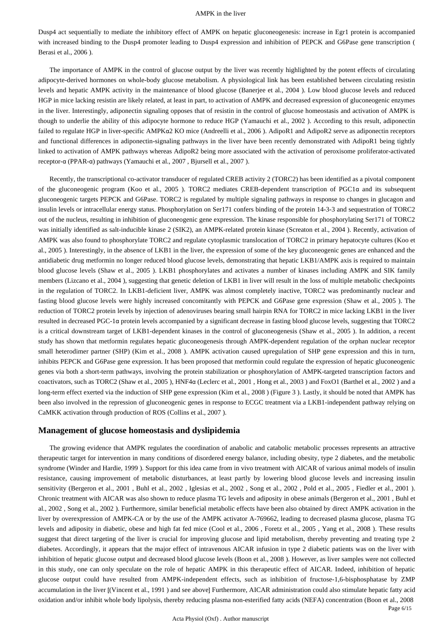Dusp4 act sequentially to mediate the inhibitory effect of AMPK on hepatic gluconeogenesis: increase in Egr1 protein is accompanied with increased binding to the Dusp4 promoter leading to Dusp4 expression and inhibition of PEPCK and G6Pase gene transcription ( Berasi et al., 2006 ).

The importance of AMPK in the control of glucose output by the liver was recently highlighted by the potent effects of circulating adipocyte-derived hormones on whole-body glucose metabolism. A physiological link has been established between circulating resistin levels and hepatic AMPK activity in the maintenance of blood glucose (Banerjee et al., 2004 ). Low blood glucose levels and reduced HGP in mice lacking resistin are likely related, at least in part, to activation of AMPK and decreased expression of gluconeogenic enzymes in the liver. Interestingly, adiponectin signaling opposes that of resistin in the control of glucose homeostasis and activation of AMPK is though to underlie the ability of this adipocyte hormone to reduce HGP (Yamauchi et al., 2002 ). According to this result, adiponectin failed to regulate HGP in liver-specific AMPKα2 KO mice (Andreelli et al., 2006 ). AdipoR1 and AdipoR2 serve as adiponectin receptors and functional differences in adiponectin-signaling pathways in the liver have been recently demonstrated with AdipoR1 being tightly linked to activation of AMPK pathways whereas AdipoR2 being more associated with the activation of peroxisome proliferator-activated receptor-α (PPAR-α) pathways (Yamauchi et al., 2007 , Bjursell et al., 2007 ).

Recently, the transcriptional co-activator transducer of regulated CREB activity 2 (TORC2) has been identified as a pivotal component of the gluconeogenic program (Koo et al., 2005 ). TORC2 mediates CREB-dependent transcription of PGC1α and its subsequent gluconeogenic targets PEPCK and G6Pase. TORC2 is regulated by multiple signaling pathways in response to changes in glucagon and insulin levels or intracellular energy status. Phosphorylation on Ser171 confers binding of the protein 14-3-3 and sequestration of TORC2 out of the nucleus, resulting in inhibition of gluconeogenic gene expression. The kinase responsible for phosphorylating Ser171 of TORC2 was initially identified as salt-inducible kinase 2 (SIK2), an AMPK-related protein kinase (Screaton et al., 2004 ). Recently, activation of AMPK was also found to phosphorylate TORC2 and regulate cytoplasmic translocation of TORC2 in primary hepatocyte cultures (Koo et al., 2005 ). Interestingly, in the absence of LKB1 in the liver, the expression of some of the key gluconeogenic genes are enhanced and the antidiabetic drug metformin no longer reduced blood glucose levels, demonstrating that hepatic LKB1/AMPK axis is required to maintain blood glucose levels (Shaw et al., 2005 ). LKB1 phosphorylates and activates a number of kinases including AMPK and SIK family members (Lizcano et al., 2004 ), suggesting that genetic deletion of LKB1 in liver will result in the loss of multiple metabolic checkpoints in the regulation of TORC2. In LKB1-deficient liver, AMPK was almost completely inactive, TORC2 was predominantly nuclear and fasting blood glucose levels were highly increased concomitantly with PEPCK and G6Pase gene expression (Shaw et al., 2005 ). The reduction of TORC2 protein levels by injection of adenoviruses bearing small hairpin RNA for TORC2 in mice lacking LKB1 in the liver resulted in decreased PGC-1α protein levels accompanied by a significant decrease in fasting blood glucose levels, suggesting that TORC2 is a critical downstream target of LKB1-dependent kinases in the control of gluconeogenesis (Shaw et al., 2005 ). In addition, a recent study has shown that metformin regulates hepatic gluconeogenesis through AMPK-dependent regulation of the orphan nuclear receptor small heterodimer partner (SHP) (Kim et al., 2008 ). AMPK activation caused upregulation of SHP gene expression and this in turn, inhibits PEPCK and G6Pase gene expression. It has been proposed that metformin could regulate the expression of hepatic gluconeogenic genes via both a short-term pathways, involving the protein stabilization or phosphorylation of AMPK-targeted transcription factors and coactivators, such as TORC2 (Shaw et al., 2005 ), HNF4α (Leclerc et al., 2001 , Hong et al., 2003 ) and FoxO1 (Barthel et al., 2002 ) and a long-term effect exerted via the induction of SHP gene expression (Kim et al., 2008 ) (Figure 3 ). Lastly, it should be noted that AMPK has been also involved in the repression of gluconeogenic genes in response to ECGC treatment via a LKB1-independent pathway relying on CaMKK activation through production of ROS (Collins et al., 2007 ).

## **Management of glucose homeostasis and dyslipidemia**

Page 6/15 The growing evidence that AMPK regulates the coordination of anabolic and catabolic metabolic processes represents an attractive therapeutic target for intervention in many conditions of disordered energy balance, including obesity, type 2 diabetes, and the metabolic syndrome (Winder and Hardie, 1999 ). Support for this idea came from in vivo treatment with AICAR of various animal models of insulin resistance, causing improvement of metabolic disturbances, at least partly by lowering blood glucose levels and increasing insulin sensitivity (Bergeron et al., 2001 , Buhl et al., 2002 , Iglesias et al., 2002 , Song et al., 2002 , Pold et al., 2005 , Fiedler et al., 2001 ). Chronic treatment with AICAR was also shown to reduce plasma TG levels and adiposity in obese animals (Bergeron et al., 2001 , Buhl et al., 2002 , Song et al., 2002 ). Furthermore, similar beneficial metabolic effects have been also obtained by direct AMPK activation in the liver by overexpression of AMPK-CA or by the use of the AMPK activator A-769662, leading to decreased plasma glucose, plasma TG levels and adiposity in diabetic, obese and high fat fed mice (Cool et al., 2006 , Foretz et al., 2005 , Yang et al., 2008 ). These results suggest that direct targeting of the liver is crucial for improving glucose and lipid metabolism, thereby preventing and treating type 2 diabetes. Accordingly, it appears that the major effect of intravenous AICAR infusion in type 2 diabetic patients was on the liver with inhibition of hepatic glucose output and decreased blood glucose levels (Boon et al., 2008 ). However, as liver samples were not collected in this study, one can only speculate on the role of hepatic AMPK in this therapeutic effect of AICAR. Indeed, inhibition of hepatic glucose output could have resulted from AMPK-independent effects, such as inhibition of fructose-1,6-bisphosphatase by ZMP accumulation in the liver [(Vincent et al., 1991 ) and see above] Furthermore, AICAR administration could also stimulate hepatic fatty acid oxidation and/or inhibit whole body lipolysis, thereby reducing plasma non-esterified fatty acids (NEFA) concentration (Boon et al., 2008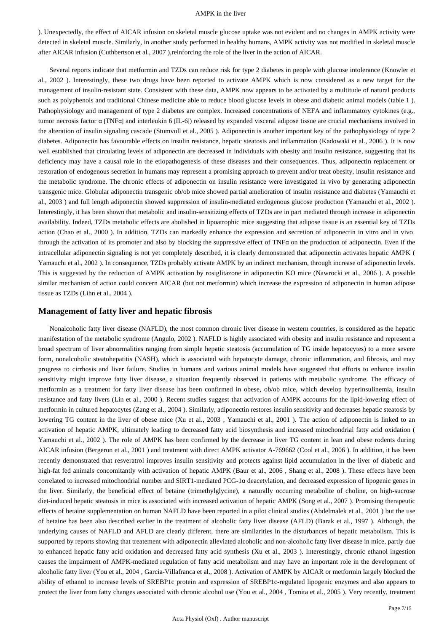). Unexpectedly, the effect of AICAR infusion on skeletal muscle glucose uptake was not evident and no changes in AMPK activity were detected in skeletal muscle. Similarly, in another study performed in healthy humans, AMPK activity was not modified in skeletal muscle after AICAR infusion (Cuthbertson et al., 2007 ),reinforcing the role of the liver in the action of AICAR.

Several reports indicate that metformin and TZDs can reduce risk for type 2 diabetes in people with glucose intolerance (Knowler et al., 2002 ). Interestingly, these two drugs have been reported to activate AMPK which is now considered as a new target for the management of insulin-resistant state. Consistent with these data, AMPK now appears to be activated by a multitude of natural products such as polyphenols and traditional Chinese medicine able to reduce blood glucose levels in obese and diabetic animal models (table 1 ). Pathophysiology and management of type 2 diabetes are complex. Increased concentrations of NEFA and inflammatory cytokines (e.g., tumor necrosis factor α [TNFα] and interleukin 6 [IL-6]) released by expanded visceral adipose tissue are crucial mechanisms involved in the alteration of insulin signaling cascade (Stumvoll et al., 2005 ). Adiponectin is another important key of the pathophysiology of type 2 diabetes. Adiponectin has favourable effects on insulin resistance, hepatic steatosis and inflammation (Kadowaki et al., 2006 ). It is now well established that circulating levels of adiponectin are decreased in individuals with obesity and insulin resistance, suggesting that its deficiency may have a causal role in the etiopathogenesis of these diseases and their consequences. Thus, adiponectin replacement or restoration of endogenous secretion in humans may represent a promising approach to prevent and/or treat obesity, insulin resistance and the metabolic syndrome. The chronic effects of adiponectin on insulin resistance were investigated in vivo by generating adiponectin transgenic mice. Globular adiponectin transgenic ob/ob mice showed partial amelioration of insulin resistance and diabetes (Yamauchi et al., 2003 ) and full length adiponectin showed suppression of insulin-mediated endogenous glucose production (Yamauchi et al., 2002 ). Interestingly, it has been shown that metabolic and insulin-sensitizing effects of TZDs are in part mediated through increase in adiponectin availability. Indeed, TZDs metabolic effects are abolished in lipoatrophic mice suggesting that adipose tissue is an essential key of TZDs action (Chao et al., 2000 ). In addition, TZDs can markedly enhance the expression and secretion of adiponectin in vitro and in vivo through the activation of its promoter and also by blocking the suppressive effect of TNFα on the production of adiponectin. Even if the intracellular adiponectin signaling is not yet completely described, it is clearly demonstrated that adiponectin activates hepatic AMPK ( Yamauchi et al., 2002 ). In consequence, TZDs probably activate AMPK by an indirect mechanism, through increase of adiponectin levels. This is suggested by the reduction of AMPK activation by rosiglitazone in adiponectin KO mice (Nawrocki et al., 2006 ). A possible similar mechanism of action could concern AICAR (but not metformin) which increase the expression of adiponectin in human adipose tissue as TZDs (Lihn et al., 2004 ).

## **Management of fatty liver and hepatic fibrosis**

Nonalcoholic fatty liver disease (NAFLD), the most common chronic liver disease in western countries, is considered as the hepatic manifestation of the metabolic syndrome (Angulo, 2002 ). NAFLD is highly associated with obesity and insulin resistance and represent a broad spectrum of liver abnormalities ranging from simple hepatic steatosis (accumulation of TG inside hepatocytes) to a more severe form, nonalcoholic steatohepatitis (NASH), which is associated with hepatocyte damage, chronic inflammation, and fibrosis, and may progress to cirrhosis and liver failure. Studies in humans and various animal models have suggested that efforts to enhance insulin sensitivity might improve fatty liver disease, a situation frequently observed in patients with metabolic syndrome. The efficacy of metformin as a treatment for fatty liver disease has been confirmed in obese, ob/ob mice, which develop hyperinsulinemia, insulin resistance and fatty livers (Lin et al., 2000 ). Recent studies suggest that activation of AMPK accounts for the lipid-lowering effect of metformin in cultured hepatocytes (Zang et al., 2004 ). Similarly, adiponectin restores insulin sensitivity and decreases hepatic steatosis by lowering TG content in the liver of obese mice (Xu et al., 2003, Yamauchi et al., 2001). The action of adiponectin is linked to an activation of hepatic AMPK, ultimately leading to decreased fatty acid biosynthesis and increased mitochondrial fatty acid oxidation ( Yamauchi et al., 2002 ). The role of AMPK has been confirmed by the decrease in liver TG content in lean and obese rodents during AICAR infusion (Bergeron et al., 2001 ) and treatment with direct AMPK activator A-769662 (Cool et al., 2006 ). In addition, it has been recently demonstrated that resveratrol improves insulin sensitivity and protects against lipid accumulation in the liver of diabetic and high-fat fed animals concomitantly with activation of hepatic AMPK (Baur et al., 2006), Shang et al., 2008). These effects have been correlated to increased mitochondrial number and SIRT1-mediated PCG-1α deacetylation, and decreased expression of lipogenic genes in the liver. Similarly, the beneficial effect of betaine (trimethylglycine), a naturally occurring metabolite of choline, on high-sucrose diet-induced hepatic steatosis in mice is associated with increased activation of hepatic AMPK (Song et al., 2007 ). Promising therapeutic effects of betaine supplementation on human NAFLD have been reported in a pilot clinical studies (Abdelmalek et al., 2001 ) but the use of betaine has been also described earlier in the treatment of alcoholic fatty liver disease (AFLD) (Barak et al., 1997 ). Although, the underlying causes of NAFLD and AFLD are clearly different, there are similarities in the disturbances of hepatic metabolism. This is supported by reports showing that treatement with adiponectin alleviated alcoholic and non-alcoholic fatty liver disease in mice, partly due to enhanced hepatic fatty acid oxidation and decreased fatty acid synthesis (Xu et al., 2003 ). Interestingly, chronic ethanol ingestion causes the impairment of AMPK-mediated regulation of fatty acid metabolism and may have an important role in the development of alcoholic fatty liver (You et al., 2004 , Garcia-Villafranca et al., 2008 ). Activation of AMPK by AICAR or metformin largely blocked the ability of ethanol to increase levels of SREBP1c protein and expression of SREBP1c-regulated lipogenic enzymes and also appears to protect the liver from fatty changes associated with chronic alcohol use (You et al., 2004 , Tomita et al., 2005 ). Very recently, treatment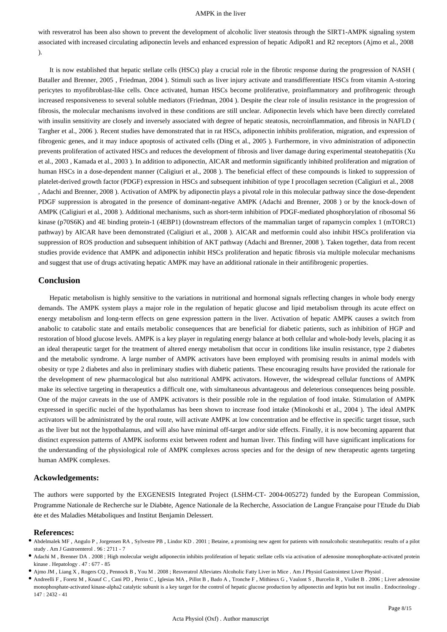with resveratrol has been also shown to prevent the development of alcoholic liver steatosis through the SIRT1-AMPK signaling system associated with increased circulating adiponectin levels and enhanced expression of hepatic AdipoR1 and R2 receptors (Ajmo et al., 2008 ).

It is now established that hepatic stellate cells (HSCs) play a crucial role in the fibrotic response during the progression of NASH ( Bataller and Brenner, 2005 , Friedman, 2004 ). Stimuli such as liver injury activate and transdifferentiate HSCs from vitamin A-storing pericytes to myofibroblast-like cells. Once activated, human HSCs become proliferative, proinflammatory and profibrogenic through increased responsiveness to several soluble mediators (Friedman, 2004 ). Despite the clear role of insulin resistance in the progression of fibrosis, the molecular mechanisms involved in these conditions are still unclear. Adiponectin levels which have been directly correlated with insulin sensitivity are closely and inversely associated with degree of hepatic steatosis, necroinflammation, and fibrosis in NAFLD ( Targher et al., 2006 ). Recent studies have demonstrated that in rat HSCs, adiponectin inhibits proliferation, migration, and expression of fibrogenic genes, and it may induce apoptosis of activated cells (Ding et al., 2005 ). Furthermore, in vivo administration of adiponectin prevents proliferation of activated HSCs and reduces the development of fibrosis and liver damage during experimental steatohepatitis (Xu et al., 2003 , Kamada et al., 2003 ). In addition to adiponectin, AICAR and metformin significantly inhibited proliferation and migration of human HSCs in a dose-dependent manner (Caligiuri et al., 2008 ). The beneficial effect of these compounds is linked to suppression of platelet-derived growth factor (PDGF) expression in HSCs and subsequent inhibition of type I procollagen secretion (Caligiuri et al., 2008 , Adachi and Brenner, 2008 ). Activation of AMPK by adiponectin plays a pivotal role in this molecular pathway since the dose-dependent PDGF suppression is abrogated in the presence of dominant-negative AMPK (Adachi and Brenner, 2008 ) or by the knock-down of AMPK (Caligiuri et al., 2008 ). Additional mechanisms, such as short-term inhibition of PDGF-mediated phosphorylation of ribosomal S6 kinase (p70S6K) and 4E binding protein-1 (4EBP1) (downstream effectors of the mammalian target of rapamycin complex 1 (mTORC1) pathway) by AICAR have been demonstrated (Caligiuri et al., 2008 ). AICAR and metformin could also inhibit HSCs proliferation via suppression of ROS production and subsequent inhibition of AKT pathway (Adachi and Brenner, 2008 ). Taken together, data from recent studies provide evidence that AMPK and adiponectin inhibit HSCs proliferation and hepatic fibrosis via multiple molecular mechanisms and suggest that use of drugs activating hepatic AMPK may have an additional rationale in their antifibrogenic properties.

## **Conclusion**

Hepatic metabolism is highly sensitive to the variations in nutritional and hormonal signals reflecting changes in whole body energy demands. The AMPK system plays a major role in the regulation of hepatic glucose and lipid metabolism through its acute effect on energy metabolism and long-term effects on gene expression pattern in the liver. Activation of hepatic AMPK causes a switch from anabolic to catabolic state and entails metabolic consequences that are beneficial for diabetic patients, such as inhibition of HGP and restoration of blood glucose levels. AMPK is a key player in regulating energy balance at both cellular and whole-body levels, placing it as an ideal therapeutic target for the treatment of altered energy metabolism that occur in conditions like insulin resistance, type 2 diabetes and the metabolic syndrome. A large number of AMPK activators have been employed with promising results in animal models with obesity or type 2 diabetes and also in preliminary studies with diabetic patients. These encouraging results have provided the rationale for the development of new pharmacological but also nutritional AMPK activators. However, the widespread cellular functions of AMPK make its selective targeting in therapeutics a difficult one, with simultaneous advantageous and deleterious consequences being possible. One of the major caveats in the use of AMPK activators is their possible role in the regulation of food intake. Stimulation of AMPK expressed in specific nuclei of the hypothalamus has been shown to increase food intake (Minokoshi et al., 2004 ). The ideal AMPK activators will be administrated by the oral route, will activate AMPK at low concentration and be effective in specific target tissue, such as the liver but not the hypothalamus, and will also have minimal off-target and/or side effects. Finally, it is now becoming apparent that distinct expression patterns of AMPK isoforms exist between rodent and human liver. This finding will have significant implications for the understanding of the physiological role of AMPK complexes across species and for the design of new therapeutic agents targeting human AMPK complexes.

## **Ackowledgements:**

The authors were supported by the EXGENESIS Integrated Project (LSHM-CT- 2004-005272) funded by the European Commission, Programme Nationale de Recherche sur le Diabète, Agence Nationale de la Recherche, Association de Langue Française pour l'Etude du Diab ète et des Maladies Métaboliques and Institut Benjamin Delessert.

#### **References:**

- Abdelmalek MF , Angulo P , Jorgensen RA , Sylvestre PB , Lindor KD . 2001 ; Betaine, a promising new agent for patients with nonalcoholic steatohepatitis: results of a pilot study . Am J Gastroenterol . 96 : 2711 - 7
- Adachi M , Brenner DA , 2008 ; High molecular weight adiponectin inhibits proliferation of hepatic stellate cells via activation of adenosine monophosphate-activated protein kinase . Hepatology . 47 : 677 - 85
- Ajmo JM , Liang X , Rogers CQ , Pennock B , You M . 2008 ; Resveratrol Alleviates Alcoholic Fatty Liver in Mice . Am J Physiol Gastrointest Liver Physiol .
- Andreelli F , Foretz M , Knauf C , Cani PD , Perrin C , Iglesias MA , Pillot B , Bado A , Tronche F , Mithieux G , Vaulont S , Burcelin R , Viollet B . 2006 ; Liver adenosine monophosphate-activated kinase-alpha2 catalytic subunit is a key target for the control of hepatic glucose production by adiponectin and leptin but not insulin . Endocrinology . 147 : 2432 - 41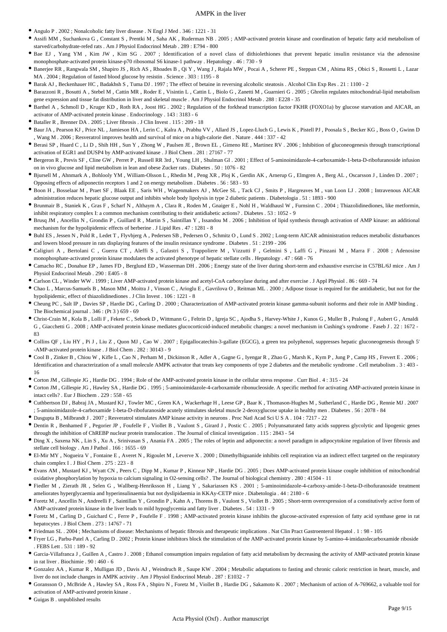- Angulo P . 2002 ; Nonalcoholic fatty liver disease . N Engl J Med . 346 : 1221 31
- Assifi MM , Suchankova G , Constant S , Prentki M , Saha AK , Ruderman NB . 2005 ; AMP-activated protein kinase and coordination of hepatic fatty acid metabolism of starved/carbohydrate-refed rats . Am J Physiol Endocrinol Metab . 289 : E794 - 800
- Bae EJ , Yang YM , Kim JW , Kim SG . 2007 ; Identification of a novel class of dithiolethiones that prevent hepatic insulin resistance via the adenosine monophosphate-activated protein kinase-p70 ribosomal S6 kinase-1 pathway . Hepatology . 46 : 730 - 9
- Banerjee RR , Rangwala SM , Shapiro JS , Rich AS , Rhoades B , Qi Y , Wang J , Rajala MW , Pocai A , Scherer PE , Steppan CM , Ahima RS , Obici S , Rossetti L , Lazar MA . 2004 ; Regulation of fasted blood glucose by resistin . Science . 303 : 1195 - 8
- Barak AJ , Beckenhauer HC , Badakhsh S , Tuma DJ . 1997 ; The effect of betaine in reversing alcoholic steatosis . Alcohol Clin Exp Res . 21 : 1100 2
- Barazzoni R , Bosutti A , Stebel M , Cattin MR , Roder E , Visintin L , Cattin L , Biolo G , Zanetti M , Guarnieri G . 2005 ; Ghrelin regulates mitochondrial-lipid metabolism gene expression and tissue fat distribution in liver and skeletal muscle . Am J Physiol Endocrinol Metab . 288 : E228 - 35
- Barthel A , Schmoll D , Kruger KD , Roth RA , Joost HG . 2002 ; Regulation of the forkhead transcription factor FKHR (FOXO1a) by glucose starvation and AICAR, an activator of AMP-activated protein kinase . Endocrinology . 143 : 3183 - 6
- Bataller R , Brenner DA . 2005 ; Liver fibrosis . J Clin Invest . 115 : 209 18
- Baur JA , Pearson KJ , Price NL , Jamieson HA , Lerin C , Kalra A , Prabhu VV , Allard JS , Lopez-Lluch G , Lewis K , Pistell PJ , Poosala S , Becker KG , Boss O , Gwinn D . Wang M . 2006 : Resveratrol improves health and survival of mice on a high-calorie diet . Nature .  $444 \cdot 337 - 42$
- Berasi SP , Huard C , Li D , Shih HH , Sun Y , Zhong W , Paulsen JE , Brown EL , Gimeno RE , Martinez RV . 2006 ; Inhibition of gluconeogenesis through transcriptional activation of EGR1 and DUSP4 by AMP-activated kinase . J Biol Chem . 281 : 27167 - 77
- Bergeron R , Previs SF , Cline GW , Perret P , Russell RR 3rd , Young LH , Shulman GI . 2001 ; Effect of 5-aminoimidazole-4-carboxamide-1-beta-D-ribofuranoside infusion on in vivo glucose and lipid metabolism in lean and obese Zucker rats . Diabetes . 50 : 1076 - 82
- Bjursell M , Ahnmark A , Bohlooly YM , William-Olsson L , Rhedin M , Peng XR , Ploj K , Gerdin AK , Arnerup G , Elmgren A , Berg AL , Oscarsson J , Linden D . 2007 ; Opposing effects of adiponectin receptors 1 and 2 on energy metabolism . Diabetes . 56 : 583 - 93
- Boon H , Bosselaar M , Praet SF , Blaak EE , Saris WH , Wagenmakers AJ , McGee SL , Tack CJ , Smits P , Hargreaves M , van Loon LJ . 2008 ; Intravenous AICAR administration reduces hepatic glucose output and inhibits whole body lipolysis in type 2 diabetic patients . Diabetologia . 51 : 1893 - 900
- Brunmair B , Staniek K , Gras F , Scharf N , Althaym A , Clara R , Roden M , Gnaiger E , Nohl H , Waldhausl W , Furnsinn C . 2004 ; Thiazolidinediones, like metformin, inhibit respiratory complex I: a common mechanism contributing to their antidiabetic actions? . Diabetes . 53 : 1052 - 9
- Brusq JM , Ancellin N , Grondin P , Guillard R , Martin S , Saintillan Y , Issandou M . 2006 ; Inhibition of lipid synthesis through activation of AMP kinase: an additional mechanism for the hypolipidemic effects of berberine . J Lipid Res . 47 : 1281 - 8
- Buhl ES , Jessen N , Pold R , Ledet T , Flyvbjerg A , Pedersen SB , Pedersen O , Schmitz O , Lund S . 2002 ; Long-term AICAR administration reduces metabolic disturbances and lowers blood pressure in rats displaying features of the insulin resistance syndrome . Diabetes . 51 : 2199 - 206
- Caligiuri A , Bertolani C , Guerra CT , Aleffi S , Galastri S , Trappoliere M , Vizzutti F , Gelmini S , Laffi G , Pinzani M , Marra F . 2008 ; Adenosine monophosphate-activated protein kinase modulates the activated phenotype of hepatic stellate cells . Hepatology . 47 : 668 - 76
- Camacho RC , Donahue EP , James FD , Berglund ED , Wasserman DH . 2006 ; Energy state of the liver during short-term and exhaustive exercise in C57BL/6J mice . Am J Physiol Endocrinol Metab . 290 : E405 - 8
- Carlson CL , Winder WW . 1999 ; Liver AMP-activated protein kinase and acetyl-CoA carboxylase during and after exercise . J Appl Physiol . 86 : 669 74

Chao L , Marcus-Samuels B , Mason MM , Moitra J , Vinson C , Arioglu E , Gavrilova O , Reitman ML . 2000 ; Adipose tissue is required for the antidiabetic, but not for the hypolipidemic, effect of thiazolidinediones . J Clin Invest . 106 : 1221 - 8

- Cheung PC , Salt IP , Davies SP , Hardie DG , Carling D . 2000 ; Characterization of AMP-activated protein kinase gamma-subunit isoforms and their role in AMP binding . The Biochemical journal . 346 : (Pt 3 ) 659 - 69
- Christ-Crain M , Kola B , Lolli F , Fekete C , Seboek D , Wittmann G , Feltrin D , Igreja SC , Ajodha S , Harvey-White J , Kunos G , Muller B , Pralong F , Aubert G , Arnaldi G , Giacchetti G . 2008 ; AMP-activated protein kinase mediates glucocorticoid-induced metabolic changes: a novel mechanism in Cushing's syndrome . Faseb J . 22 : 1672 -83
- Collins QF, Liu HY, Pi J, Liu Z, Quon MJ, Cao W. 2007; Epigallocatechin-3-gallate (EGCG), a green tea polyphenol, suppresses hepatic gluconeogenesis through 5' -AMP-activated protein kinase . J Biol Chem . 282 : 30143 - 9
- Cool B , Zinker B , Chiou W , Kifle L , Cao N , Perham M , Dickinson R , Adler A , Gagne G , Iyengar R , Zhao G , Marsh K , Kym P , Jung P , Camp HS , Frevert E . 2006 ; Identification and characterization of a small molecule AMPK activator that treats key components of type 2 diabetes and the metabolic syndrome . Cell metabolism . 3 : 403 - 16
- Corton JM , Gillespie JG , Hardie DG . 1994 ; Role of the AMP-activated protein kinase in the cellular stress response . Curr Biol . 4 : 315 24
- Corton JM , Gillespie JG , Hawley SA , Hardie DG . 1995 ; 5-aminoimidazole-4-carboxamide ribonucleoside. A specific method for activating AMP-activated protein kinase in intact cells? . Eur J Biochem . 229 : 558 - 65
- Cuthbertson DJ , Babraj JA , Mustard KJ , Towler MC , Green KA , Wackerhage H , Leese GP , Baar K , Thomason-Hughes M , Sutherland C , Hardie DG , Rennie MJ . 2007 ; 5-aminoimidazole-4-carboxamide 1-beta-D-ribofuranoside acutely stimulates skeletal muscle 2-deoxyglucose uptake in healthy men . Diabetes . 56 : 2078 - 84
- Dasgupta B , Milbrandt J . 2007 ; Resveratrol stimulates AMP kinase activity in neurons . Proc Natl Acad Sci U S A . 104 : 7217 22
- Dentin R , Benhamed F , Pegorier JP , Foufelle F , Viollet B , Vaulont S , Girard J , Postic C . 2005 ; Polyunsaturated fatty acids suppress glycolytic and lipogenic genes through the inhibition of ChREBP nuclear protein translocation . The Journal of clinical investigation . 115 : 2843 - 54
- Ding X, Saxena NK, Lin S, Xu A, Srinivasan S, Anania FA, 2005; The roles of leptin and adiponectin: a novel paradigm in adipocytokine regulation of liver fibrosis and stellate cell biology . Am J Pathol . 166 : 1655 - 69
- El-Mir MY , Nogueira V , Fontaine E , Averet N , Rigoulet M , Leverve X . 2000 ; Dimethylbiguanide inhibits cell respiration via an indirect effect targeted on the respiratory chain complex I . J Biol Chem . 275 : 223 - 8
- Evans AM , Mustard KJ , Wyatt CN , Peers C , Dipp M , Kumar P , Kinnear NP , Hardie DG . 2005 ; Does AMP-activated protein kinase couple inhibition of mitochondrial oxidative phosphorylation by hypoxia to calcium signaling in O2-sensing cells? . The Journal of biological chemistry . 280 : 41504 - 11
- Fiedler M , Zierath JR , Selen G , Wallberg-Henriksson H , Liang Y , Sakariassen KS . 2001 ; 5-aminoimidazole-4-carboxy-amide-1-beta-D-ribofuranoside treatment ameliorates hyperglycaemia and hyperinsulinaemia but not dyslipidaemia in KKAy-CETP mice . Diabetologia . 44 : 2180 - 6
- Foretz M , Ancellin N , Andreelli F , Saintillan Y , Grondin P , Kahn A , Thorens B , Vaulont S , Viollet B . 2005 ; Short-term overexpression of a constitutively active form of AMP-activated protein kinase in the liver leads to mild hypoglycemia and fatty liver . Diabetes . 54 : 1331 - 9
- Foretz M , Carling D , Guichard C , Ferre P , Foufelle F . 1998 ; AMP-activated protein kinase inhibits the glucose-activated expression of fatty acid synthase gene in rat hepatocytes . J Biol Chem . 273 : 14767 - 71
- Friedman SL . 2004 ; Mechanisms of disease: Mechanisms of hepatic fibrosis and therapeutic implications . Nat Clin Pract Gastroenterol Hepatol . 1 : 98 105
- Fryer LG , Parbu-Patel A , Carling D . 2002 ; Protein kinase inhibitors block the stimulation of the AMP-activated protein kinase by 5-amino-4-imidazolecarboxamide riboside FEBS Lett  $-531 \cdot 189 - 92$
- Garcia-Villafranca J , Guillen A , Castro J . 2008 ; Ethanol consumption impairs regulation of fatty acid metabolism by decreasing the activity of AMP-activated protein kinase in rat liver . Biochimie . 90 : 460 - 6
- Gonzalez AA , Kumar R , Mulligan JD , Davis AJ , Weindruch R , Saupe KW . 2004 ; Metabolic adaptations to fasting and chronic caloric restriction in heart, muscle, and liver do not include changes in AMPK activity . Am J Physiol Endocrinol Metab . 287 : E1032 - 7
- Goransson O , McBride A , Hawley SA , Ross FA , Shpiro N , Foretz M , Viollet B , Hardie DG , Sakamoto K . 2007 ; Mechanism of action of A-769662, a valuable tool for activation of AMP-activated protein kinase .
- $\bullet$  Guigas B . unpublished results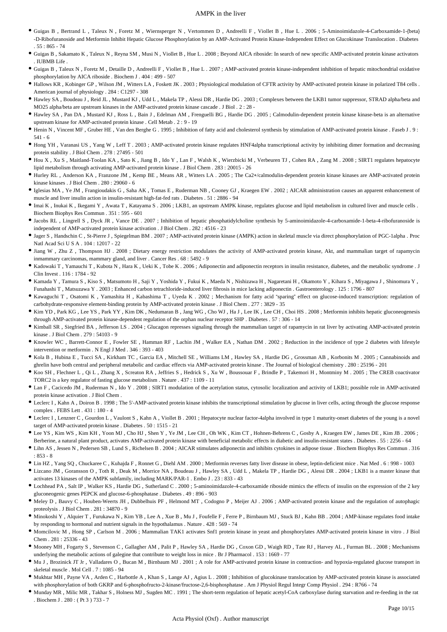- Guigas B , Bertrand L , Taleux N , Foretz M , Wiernsperger N , Vertommen D , Andreelli F , Viollet B , Hue L . 2006 ; 5-Aminoimidazole-4-Carboxamide-1-{beta} -D-Ribofuranoside and Metformin Inhibit Hepatic Glucose Phosphorylation by an AMP-Activated Protein Kinase-Independent Effect on Glucokinase Translocation . Diabetes  $.55:865 - 74$
- Guigas B , Sakamato K , Taleux N , Reyna SM , Musi N , Viollet B , Hue L . 2008 ; Beyond AICA riboside: In search of new specific AMP-activated protein kinase activators . IUBMB Life .
- Guigas B , Taleux N , Foretz M , Detaille D , Andreelli F , Viollet B , Hue L . 2007 ; AMP-activated protein kinase-independent inhibition of hepatic mitochondrial oxidative phosphorylation by AICA riboside . Biochem J . 404 : 499 - 507
- Hallows KR, Kobinger GP, Wilson JM, Witters LA, Foskett JK. 2003; Physiological modulation of CFTR activity by AMP-activated protein kinase in polarized T84 cells. American journal of physiology . 284 : C1297 - 308
- Hawley SA , Boudeau J , Reid JL , Mustard KJ , Udd L , Makela TP , Alessi DR , Hardie DG . 2003 ; Complexes between the LKB1 tumor suppressor, STRAD alpha/beta and MO25 alpha/beta are upstream kinases in the AMP-activated protein kinase cascade . J Biol . 2 : 28 -
- Hawley SA , Pan DA , Mustard KJ , Ross L , Bain J , Edelman AM , Frenguelli BG , Hardie DG . 2005 ; Calmodulin-dependent protein kinase kinase-beta is an alternative upstream kinase for AMP-activated protein kinase . Cell Metab . 2 : 9 - 19
- Henin N , Vincent MF , Gruber HE , Van den Berghe G . 1995 ; Inhibition of fatty acid and cholesterol synthesis by stimulation of AMP-activated protein kinase . Faseb J . 9 : 541 - 6
- Hong YH , Varanasi US , Yang W , Leff T . 2003 ; AMP-activated protein kinase regulates HNF4alpha transcriptional activity by inhibiting dimer formation and decreasing protein stability . J Biol Chem . 278 : 27495 - 501
- Hou X , Xu S , Maitland-Toolan KA , Sato K , Jiang B , Ido Y , Lan F , Walsh K , Wierzbicki M , Verbeuren TJ , Cohen RA , Zang M . 2008 ; SIRT1 regulates hepatocyte lipid metabolism through activating AMP-activated protein kinase . J Biol Chem . 283 : 20015 - 26
- Hurley RL , Anderson KA , Franzone JM , Kemp BE , Means AR , Witters LA . 2005 ; The Ca2+/calmodulin-dependent protein kinase kinases are AMP-activated protein kinase kinases . J Biol Chem . 280 : 29060 - 6
- Iglesias MA , Ye JM , Frangioudakis G , Saha AK , Tomas E , Ruderman NB , Cooney GJ , Kraegen EW . 2002 ; AICAR administration causes an apparent enhancement of muscle and liver insulin action in insulin-resistant high-fat-fed rats . Diabetes . 51 : 2886 - 94
- Imai K , Inukai K , Ikegami Y , Awata T , Katayama S . 2006 ; LKB1, an upstream AMPK kinase, regulates glucose and lipid metabolism in cultured liver and muscle cells . Biochem Biophys Res Commun . 351 : 595 - 601
- Jacobs RL , Lingrell S , Dyck JR , Vance DE . 2007 ; Inhibition of hepatic phosphatidylcholine synthesis by 5-aminoimidazole-4-carboxamide-1-beta-4-ribofuranoside is independent of AMP-activated protein kinase activation . J Biol Chem . 282 : 4516 - 23
- Jager S , Handschin C , St-Pierre J , Spiegelman BM . 2007 ; AMP-activated protein kinase (AMPK) action in skeletal muscle via direct phosphorylation of PGC-1alpha . Proc Natl Acad Sci U S A . 104 : 12017 - 22
- Jiang W , Zhu Z , Thompson HJ . 2008 ; Dietary energy restriction modulates the activity of AMP-activated protein kinase, Akt, and mammalian target of rapamycin inmammary carcinomas, mammary gland, and liver . Cancer Res . 68 : 5492 - 9
- $\bullet$  Kadowaki T, Yamauchi T, Kubota N, Hara K, Ueki K, Tobe K. 2006; Adiponectin and adiponectin receptors in insulin resistance, diabetes, and the metabolic syndrome. J Clin Invest . 116 : 1784 - 92
- Kamada Y , Tamura S , Kiso S , Matsumoto H , Saji Y , Yoshida Y , Fukui K , Maeda N , Nishizawa H , Nagaretani H , Okamoto Y , Kihara S , Miyagawa J , Shinomura Y , Funahashi T , Matsuzawa Y . 2003 ; Enhanced carbon tetrachloride-induced liver fibrosis in mice lacking adiponectin . Gastroenterology . 125 : 1796 - 807
- Kawaguchi T , Osatomi K , Yamashita H , Kabashima T , Uyeda K . 2002 ; Mechanism for fatty acid "sparing" effect on glucose-induced transcription: regulation of carbohydrate-responsive element-binding protein by AMP-activated protein kinase . J Biol Chem . 277 : 3829 - 35
- Kim YD , Park KG , Lee YS , Park YY , Kim DK , Nedumaran B , Jang WG , Cho WJ , Ha J , Lee IK , Lee CH , Choi HS . 2008 ; Metformin inhibits hepatic gluconeogenesis through AMP-activated protein kinase-dependent regulation of the orphan nuclear receptor SHP . Diabetes . 57 : 306 - 14
- Kimball SR , Siegfried BA , Jefferson LS . 2004 ; Glucagon represses signaling through the mammalian target of rapamycin in rat liver by activating AMP-activated protein kinase . J Biol Chem . 279 : 54103 - 9
- Knowler WC , Barrett-Connor E , Fowler SE , Hamman RF , Lachin JM , Walker EA , Nathan DM . 2002 ; Reduction in the incidence of type 2 diabetes with lifestyle intervention or metformin . N Engl J Med . 346 : 393 - 403
- Kola B , Hubina E , Tucci SA , Kirkham TC , Garcia EA , Mitchell SE , Williams LM , Hawley SA , Hardie DG , Grossman AB , Korbonits M . 2005 ; Cannabinoids and ghrelin have both central and peripheral metabolic and cardiac effects via AMP-activated protein kinase . The Journal of biological chemistry . 280 : 25196 - 201
- Koo SH , Flechner L , Qi L , Zhang X , Screaton RA , Jeffries S , Hedrick S , Xu W , Boussouar F , Brindle P , Takemori H , Montminy M . 2005 ; The CREB coactivator TORC2 is a key regulator of fasting glucose metabolism . Nature . 437 : 1109 - 11
- Lan F , Cacicedo JM , Ruderman N , Ido Y . 2008 ; SIRT1 modulation of the acetylation status, cytosolic localization and activity of LKB1; possible role in AMP-activated protein kinase activation . J Biol Chem .
- Leclerc I , Kahn A , Doiron B . 1998 ; The 5′-AMP-activated protein kinase inhibits the transcriptional stimulation by glucose in liver cells, acting through the glucose response complex . FEBS Lett . 431 : 180 - 4
- Leclerc I , Lenzner C , Gourdon L , Vaulont S , Kahn A , Viollet B . 2001 ; Hepatocyte nuclear factor-4alpha involved in type 1 maturity-onset diabetes of the young is a novel target of AMP-activated protein kinase . Diabetes . 50 : 1515 - 21
- Lee YS , Kim WS , Kim KH , Yoon MJ , Cho HJ , Shen Y , Ye JM , Lee CH , Oh WK , Kim CT , Hohnen-Behrens C , Gosby A , Kraegen EW , James DE , Kim JB . 2006 ; Berberine, a natural plant product, activates AMP-activated protein kinase with beneficial metabolic effects in diabetic and insulin-resistant states . Diabetes . 55 : 2256 - 64
- Lihn AS , Jessen N , Pedersen SB , Lund S , Richelsen B . 2004 ; AICAR stimulates adiponectin and inhibits cytokines in adipose tissue . Biochem Biophys Res Commun . 316 : 853 - 8
- Lin HZ , Yang SQ , Chuckaree C , Kuhajda F , Ronnet G , Diehl AM . 2000 ; Metformin reverses fatty liver disease in obese, leptin-deficient mice . Nat Med . 6 : 998 1003
- Lizcano JM , Goransson O , Toth R , Deak M , Morrice NA , Boudeau J , Hawley SA , Udd L , Makela TP , Hardie DG , Alessi DR . 2004 ; LKB1 is a master kinase that activates 13 kinases of the AMPK subfamily, including MARK/PAR-1 . Embo J . 23 : 833 - 43
- Lochhead PA , Salt IP , Walker KS , Hardie DG , Sutherland C . 2000 ; 5-aminoimidazole-4-carboxamide riboside mimics the effects of insulin on the expression of the 2 key gluconeogenic genes PEPCK and glucose-6-phosphatase . Diabetes . 49 : 896 - 903
- Meley D, Bauvy C, Houben-Weerts JH, Dubbelhuis PF, Helmond MT, Codogno P, Meijer AJ. 2006; AMP-activated protein kinase and the regulation of autophagic proteolysis . J Biol Chem . 281 : 34870 - 9
- Minokoshi Y , Alquier T , Furukawa N , Kim YB , Lee A , Xue B , Mu J , Foufelle F , Ferre P , Birnbaum MJ , Stuck BJ , Kahn BB . 2004 ; AMP-kinase regulates food intake by responding to hormonal and nutrient signals in the hypothalamus . Nature . 428 : 569 - 74
- Momcilovic M , Hong SP , Carlson M . 2006 ; Mammalian TAK1 activates Snf1 protein kinase in yeast and phosphorylates AMP-activated protein kinase in vitro . J Biol Chem . 281 : 25336 - 43
- Mooney MH , Fogarty S , Stevenson C , Gallagher AM , Palit P , Hawley SA , Hardie DG , Coxon GD , Waigh RD , Tate RJ , Harvey AL , Furman BL . 2008 ; Mechanisms underlying the metabolic actions of galegine that contribute to weight loss in mice . Br J Pharmacol . 153 : 1669 - 77
- Mu J , Brozinick JT Jr , Valladares O , Bucan M , Birnbaum MJ . 2001 ; A role for AMP-activated protein kinase in contraction- and hypoxia-regulated glucose transport in skeletal muscle  $\blacksquare$  Mol Cell  $\blacksquare$  7 : 1085 - 94
- Mukhtar MH , Payne VA , Arden C , Harbottle A , Khan S , Lange AJ , Agius L . 2008 ; Inhibition of glucokinase translocation by AMP-activated protein kinase is associated with phosphorylation of both GKRP and 6-phosphofructo-2-kinase/fructose-2,6-bisphosphatase . Am J Physiol Regul Integr Comp Physiol . 294 : R766 - 74
- Munday MR , Milic MR , Takhar S , Holness MJ , Sugden MC . 1991 ; The short-term regulation of hepatic acetyl-CoA carboxylase during starvation and re-feeding in the rat . Biochem J . 280 : ( Pt 3 ) 733 - 7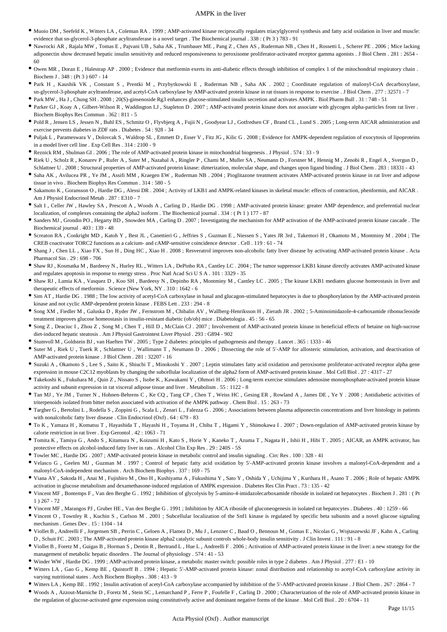- Muoio DM , Seefeld K , Witters LA , Coleman RA . 1999 ; AMP-activated kinase reciprocally regulates triacylglycerol synthesis and fatty acid oxidation in liver and muscle: evidence that sn-glycerol-3-phosphate acyltransferase is a novel target . The Biochemical journal . 338 : ( Pt 3 ) 783 - 91
- Nawrocki AR , Rajala MW , Tomas E , Pajvani UB , Saha AK , Trumbauer ME , Pang Z , Chen AS , Ruderman NB , Chen H , Rossetti L , Scherer PE . 2006 ; Mice lacking adiponectin show decreased hepatic insulin sensitivity and reduced responsiveness to peroxisome proliferator-activated receptor gamma agonists . J Biol Chem . 281 : 2654 - 60
- Owen MR , Doran E , Halestrap AP . 2000 ; Evidence that metformin exerts its anti-diabetic effects through inhibition of complex 1 of the mitochondrial respiratory chain . Biochem J . 348 : (Pt 3 ) 607 - 14
- Park H , Kaushik VK , Constant S , Prentki M , Przybytkowski E , Ruderman NB , Saha AK . 2002 ; Coordinate regulation of malonyl-CoA decarboxylase, sn-glycerol-3-phosphate acyltransferase, and acetyl-CoA carboxylase by AMP-activated protein kinase in rat tissues in response to exercise . J Biol Chem . 277 : 32571 - 7
- Park MW , Ha J , Chung SH . 2008 ; 20(S)-ginsenoside Rg3 enhances glucose-stimulated insulin secretion and activates AMPK . Biol Pharm Bull . 31 : 748 51
- Parker GJ , Koay A , Gilbert-Wilson R , Waddington LJ , Stapleton D . 2007 ; AMP-activated protein kinase does not associate with glycogen alpha-particles from rat liver . Biochem Biophys Res Commun . 362 : 811 - 5
- Pold R , Jensen LS , Jessen N , Buhl ES , Schmitz O , Flyvbjerg A , Fujii N , Goodyear LJ , Gotfredsen CF , Brand CL , Lund S . 2005 ; Long-term AICAR administration and exercise prevents diabetes in ZDF rats . Diabetes . 54 : 928 - 34
- Puljak L , Parameswara V , Dolovcak S , Waldrop SL , Emmett D , Esser V , Fitz JG , Kilic G . 2008 ; Evidence for AMPK-dependent regulation of exocytosis of lipoproteins in a model liver cell line . Exp Cell Res . 314 : 2100 - 9
- Reznick RM , Shulman GI . 2006 ; The role of AMP-activated protein kinase in mitochondrial biogenesis . J Physiol . 574 : 33 9
- Riek U , Scholz R , Konarev P , Rufer A , Suter M , Nazabal A , Ringler P , Chami M , Muller SA , Neumann D , Forstner M , Hennig M , Zenobi R , Engel A , Svergun D , Schlattner U . 2008 ; Structural properties of AMP-activated protein kinase: dimerization, molecular shape, and changes upon ligand binding . J Biol Chem . 283 : 18331 - 43
- Saha AK , Avilucea PR , Ye JM , Assifi MM , Kraegen EW , Ruderman NB . 2004 ; Pioglitazone treatment activates AMP-activated protein kinase in rat liver and adipose tissue in vivo . Biochem Biophys Res Commun . 314 : 580 - 5
- Sakamoto K , Goransson O , Hardie DG , Alessi DR . 2004 ; Activity of LKB1 and AMPK-related kinases in skeletal muscle: effects of contraction, phenformin, and AICAR . Am J Physiol Endocrinol Metab . 287 : E310 - 7
- Salt I , Celler JW , Hawley SA , Prescott A , Woods A , Carling D , Hardie DG . 1998 ; AMP-activated protein kinase: greater AMP dependence, and preferential nuclear localization, of complexes containing the alpha2 isoform . The Biochemical journal . 334 : ( Pt 1 ) 177 - 87
- Sanders MJ , Grondin PO , Hegarty BD , Snowden MA , Carling D . 2007 ; Investigating the mechanism for AMP activation of the AMP-activated protein kinase cascade . The Biochemical journal . 403 : 139 - 48
- Screaton RA , Conkright MD , Katoh Y , Best JL , Canettieri G , Jeffries S , Guzman E , Niessen S , Yates JR 3rd , Takemori H , Okamoto M , Montminy M . 2004 ; The CREB coactivator TORC2 functions as a calcium- and cAMP-sensitive coincidence detector . Cell . 119 : 61 - 74
- Shang J , Chen LL , Xiao FX , Sun H , Ding HC , Xiao H . 2008 ; Resveratrol improves non-alcoholic fatty liver disease by activating AMP-activated protein kinase . Acta Pharmacol Sin . 29 : 698 - 706
- Shaw RJ , Kosmatka M , Bardeesy N , Hurley RL , Witters LA , DePinho RA , Cantley LC . 2004 ; The tumor suppressor LKB1 kinase directly activates AMP-activated kinase and regulates apoptosis in response to energy stress . Proc Natl Acad Sci U S A . 101 : 3329 - 35
- Shaw RJ , Lamia KA , Vasquez D , Koo SH , Bardeesy N , Depinho RA , Montminy M , Cantley LC . 2005 ; The kinase LKB1 mediates glucose homeostasis in liver and therapeutic effects of metformin . Science (New York, NY . 310 : 1642 - 6
- Sim AT , Hardie DG . 1988 ; The low activity of acetyl-CoA carboxylase in basal and glucagon-stimulated hepatocytes is due to phosphorylation by the AMP-activated protein kinase and not cyclic AMP-dependent protein kinase . FEBS Lett . 233 : 294 - 8
- Song XM , Fiedler M , Galuska D , Ryder JW , Fernstrom M , Chibalin AV , Wallberg-Henriksson H , Zierath JR . 2002 ; 5-Aminoimidazole-4-carboxamide ribonucleoside treatment improves glucose homeostasis in insulin-resistant diabetic (ob/ob) mice . Diabetologia . 45 : 56 - 65
- Song Z , Deaciuc I , Zhou Z , Song M , Chen T , Hill D , McClain CJ . 2007 ; Involvement of AMP-activated protein kinase in beneficial effects of betaine on high-sucrose diet-induced hepatic steatosis . Am J Physiol Gastrointest Liver Physiol . 293 : G894 - 902
- Stumvoll M , Goldstein BJ , van Haeften TW . 2005 ; Type 2 diabetes: principles of pathogenesis and therapy . Lancet . 365 : 1333 46
- Suter M , Riek U , Tuerk R , Schlattner U , Wallimann T , Neumann D . 2006 ; Dissecting the role of 5'-AMP for allosteric stimulation, activation, and deactivation of AMP-activated protein kinase . J Biol Chem . 281 : 32207 - 16
- Suzuki A , Okamoto S , Lee S , Saito K , Shiuchi T , Minokoshi Y . 2007 ; Leptin stimulates fatty acid oxidation and peroxisome proliferator-activated receptor alpha gene expression in mouse C2C12 myoblasts by changing the subcellular localization of the alpha2 form of AMP-activated protein kinase . Mol Cell Biol . 27 : 4317 - 27
- Takekoshi K , Fukuhara M , Quin Z , Nissato S , Isobe K , Kawakami Y , Ohmori H . 2006 ; Long-term exercise stimulates adenosine monophosphate-activated protein kinase activity and subunit expression in rat visceral adipose tissue and liver . Metabolism . 55 : 1122 - 8
- Tan MJ , Ye JM , Turner N , Hohnen-Behrens C , Ke CQ , Tang CP , Chen T , Weiss HC , Gesing ER , Rowland A , James DE , Ye Y . 2008 ; Antidiabetic activities of triterpenoids isolated from bitter melon associated with activation of the AMPK pathway . Chem Biol . 15 : 263 - 73
- Targher G , Bertolini L , Rodella S , Zoppini G , Scala L , Zenari L , Falezza G . 2006 ; Associations between plasma adiponectin concentrations and liver histology in patients with nonalcoholic fatty liver disease . Clin Endocrinol  $(Oxf)$  64 : 679 - 83
- To K , Yamaza H , Komatsu T , Hayashida T , Hayashi H , Toyama H , Chiba T , Higami Y , Shimokawa I . 2007 ; Down-regulation of AMP-activated protein kinase by calorie restriction in rat liver . Exp Gerontol . 42 : 1063 - 71
- Tomita K , Tamiya G , Ando S , Kitamura N , Koizumi H , Kato S , Horie Y , Kaneko T , Azuma T , Nagata H , Ishii H , Hibi T . 2005 ; AICAR, an AMPK activator, has protective effects on alcohol-induced fatty liver in rats . Alcohol Clin Exp Res . 29 : 240S - 5S
- Towler MC , Hardie DG . 2007 ; AMP-activated protein kinase in metabolic control and insulin signaling . Circ Res . 100 : 328 41
- Velasco G , Geelen MJ , Guzman M . 1997 ; Control of hepatic fatty acid oxidation by 5′-AMP-activated protein kinase involves a malonyl-CoA-dependent and a malonyl-CoA-independent mechanism . Arch Biochem Biophys . 337 : 169 - 75
- Viana AY , Sakoda H , Anai M , Fujishiro M , Ono H , Kushiyama A , Fukushima Y , Sato Y , Oshida Y , Uchijima Y , Kurihara H , Asano T . 2006 ; Role of hepatic AMPK activation in glucose metabolism and dexamethasone-induced regulation of AMPK expression . Diabetes Res Clin Pract . 73 : 135 - 42
- Vincent MF , Bontemps F , Van den Berghe G . 1992 ; Inhibition of glycolysis by 5-amino-4-imidazolecarboxamide riboside in isolated rat hepatocytes . Biochem J . 281 : ( Pt 1 ) 267 - 72
- Vincent MF , Marangos PJ , Gruber HE , Van den Berghe G . 1991 ; Inhibition by AICA riboside of gluconeogenesis in isolated rat hepatocytes . Diabetes . 40 : 1259 66
- Vincent O , Townley R , Kuchin S , Carlson M . 2001 ; Subcellular localization of the Snf1 kinase is regulated by specific beta subunits and a novel glucose signaling mechanism . Genes Dev . 15 : 1104 - 14
- Viollet B , Andreelli F , Jorgensen SB , Perrin C , Geloen A , Flamez D , Mu J , Lenzner C , Baud O , Bennoun M , Gomas E , Nicolas G , Wojtaszewski JF , Kahn A , Carling D , Schuit FC . 2003 ; The AMP-activated protein kinase alpha2 catalytic subunit controls whole-body insulin sensitivity . J Clin Invest . 111 : 91 - 8
- Viollet B , Foretz M , Guigas B , Horman S , Dentin R , Bertrand L , Hue L , Andreelli F . 2006 ; Activation of AMP-activated protein kinase in the liver: a new strategy for the management of metabolic hepatic disorders . The Journal of physiology . 574 : 41 - 53
- Winder WW , Hardie DG . 1999 ; AMP-activated protein kinase, a metabolic master switch: possible roles in type 2 diabetes . Am J Physiol . 277 : E1 10
- Witters LA , Gao G , Kemp BE , Quistorff B . 1994 ; Hepatic 5′-AMP-activated protein kinase: zonal distribution and relationship to acetyl-CoA carboxylase activity in varying nutritional states . Arch Biochem Biophys . 308 : 413 - 9
- Witters LA , Kemp BE . 1992 ; Insulin activation of acetyl-CoA carboxylase accompanied by inhibition of the 5′-AMP-activated protein kinase . J Biol Chem . 267 : 2864 7
- Woods A , Azzout-Marniche D , Foretz M , Stein SC , Lemarchand P , Ferre P , Foufelle F , Carling D . 2000 ; Characterization of the role of AMP-activated protein kinase in the regulation of glucose-activated gene expression using constitutively active and dominant negative forms of the kinase . Mol Cell Biol . 20 : 6704 - 11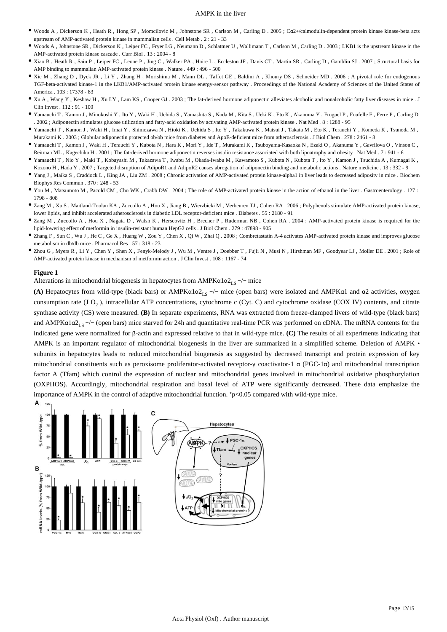- Woods A , Dickerson K , Heath R , Hong SP , Momcilovic M , Johnstone SR , Carlson M , Carling D . 2005 ; Cα2+/calmodulin-dependent protein kinase kinase-beta acts upstream of AMP-activated protein kinase in mammalian cells . Cell Metab . 2 : 21 - 33
- Woods A , Johnstone SR , Dickerson K , Leiper FC , Fryer LG , Neumann D , Schlattner U , Wallimann T , Carlson M , Carling D . 2003 ; LKB1 is the upstream kinase in the AMP-activated protein kinase cascade . Curr Biol . 13 : 2004 - 8
- Xiao B , Heath R , Saiu P , Leiper FC , Leone P , Jing C , Walker PA , Haire L , Eccleston JF , Davis CT , Martin SR , Carling D , Gamblin SJ . 2007 ; Structural basis for AMP binding to mammalian AMP-activated protein kinase . Nature . 449 : 496 - 500
- Xie M , Zhang D , Dyck JR , Li Y , Zhang H , Morishima M , Mann DL , Taffet GE , Baldini A , Khoury DS , Schneider MD . 2006 ; A pivotal role for endogenous TGF-beta-activated kinase-1 in the LKB1/AMP-activated protein kinase energy-sensor pathway . Proceedings of the National Academy of Sciences of the United States of America . 103 : 17378 - 83
- Xu A , Wang Y , Keshaw H , Xu LY , Lam KS , Cooper GJ . 2003 ; The fat-derived hormone adiponectin alleviates alcoholic and nonalcoholic fatty liver diseases in mice . J Clin Invest . 112 : 91 - 100
- Yamauchi T , Kamon J , Minokoshi Y , Ito Y , Waki H , Uchida S , Yamashita S , Noda M , Kita S , Ueki K , Eto K , Akanuma Y , Froguel P , Foufelle F , Ferre P , Carling D . 2002 ; Adiponectin stimulates glucose utilization and fatty-acid oxidation by activating AMP-activated protein kinase . Nat Med . 8 : 1288 - 95
- Yamauchi T , Kamon J , Waki H , Imai Y , Shimozawa N , Hioki K , Uchida S , Ito Y , Takakuwa K , Matsui J , Takata M , Eto K , Terauchi Y , Komeda K , Tsunoda M , Murakami K . 2003 ; Globular adiponectin protected ob/ob mice from diabetes and ApoE-deficient mice from atherosclerosis . J Biol Chem . 278 : 2461 - 8
- Yamauchi T , Kamon J , Waki H , Terauchi Y , Kubota N , Hara K , Mori Y , Ide T , Murakami K , Tsuboyama-Kasaoka N , Ezaki O , Akanuma Y , Gavrilova O , Vinson C , Reitman ML, Kagechika H. 2001; The fat-derived hormone adiponectin reverses insulin resistance associated with both lipoatrophy and obesity . Nat Med . 7: 941 - 6
- Yamauchi T , Nio Y , Maki T , Kobayashi M , Takazawa T , Iwabu M , Okada-Iwabu M , Kawamoto S , Kubota N , Kubota T , Ito Y , Kamon J , Tsuchida A , Kumagai K , Kozono H , Hada Y . 2007 ; Targeted disruption of AdipoR1 and AdipoR2 causes abrogation of adiponectin binding and metabolic actions . Nature medicine . 13 : 332 - 9
- Yang J , Maika S , Craddock L , King JA , Liu ZM . 2008 ; Chronic activation of AMP-activated protein kinase-alpha1 in liver leads to decreased adiposity in mice . Biochem Biophys Res Commun . 370 : 248 - 53
- You M , Matsumoto M , Pacold CM , Cho WK , Crabb DW . 2004 ; The role of AMP-activated protein kinase in the action of ethanol in the liver . Gastroenterology . 127 : 1798 - 808
- Zang M , Xu S , Maitland-Toolan KA , Zuccollo A , Hou X , Jiang B , Wierzbicki M , Verbeuren TJ , Cohen RA . 2006 ; Polyphenols stimulate AMP-activated protein kinase, lower lipids, and inhibit accelerated atherosclerosis in diabetic LDL receptor-deficient mice . Diabetes . 55 : 2180 - 91
- \* Zang M, Zuccollo A, Hou X, Nagata D, Walsh K, Herscovitz H, Brecher P, Ruderman NB, Cohen RA . 2004; AMP-activated protein kinase is required for the lipid-lowering effect of metformin in insulin-resistant human HepG2 cells . J Biol Chem . 279 : 47898 - 905
- Zhang F , Sun C , Wu J , He C , Ge X , Huang W , Zou Y , Chen X , Qi W , Zhai Q . 2008 ; Combretastatin A-4 activates AMP-activated protein kinase and improves glucose metabolism in db/db mice . Pharmacol Res . 57 : 318 - 23
- Zhou G , Myers R , Li Y , Chen Y , Shen X , Fenyk-Melody J , Wu M , Ventre J , Doebber T , Fujii N , Musi N , Hirshman MF , Goodyear LJ , Moller DE . 2001 ; Role of AMP-activated protein kinase in mechanism of metformin action . J Clin Invest . 108 : 1167 - 74

#### **Figure 1**

Alterations in mitochondrial biogenesis in hepatocytes from AMPK $\alpha$ 1 $\alpha$ <sub>LS</sub> −/− mice

**(A)** Hepatocytes from wild-type (black bars) or AMPKα1α2<sub>1 S</sub> −/- mice (open bars) were isolated and AMPKα1 and α2 activities, oxygen consumption rate  $(\mathrm{J} \, \mathrm{O}_2)$ , intracellular ATP concentrations, cytochrome c (Cyt. C) and cytochrome oxidase (COX IV) contents, and citrate synthase activity (CS) were measured. **(B)** In separate experiments, RNA was extracted from freeze-clamped livers of wild-type (black bars) and AMPK $\alpha$ 1 $\alpha$ <sub>1,S</sub> -/ – (open bars) mice starved for 24h and quantitative real-time PCR was performed on cDNA. The mRNA contents for the indicated gene were normalized for β-actin and expressed relative to that in wild-type mice. **(C)** The results of all experiments indicating that AMPK is an important regulator of mitochondrial biogenesis in the liver are summarized in a simplified scheme. Deletion of AMPK • subunits in hepatocytes leads to reduced mitochondrial biogenesis as suggested by decreased transcript and protein expression of key mitochondrial constituents such as peroxisome proliferator-activated receptor-γ coactivator-1 α (PGC-1α) and mitochondrial transcription factor A (Tfam) which control the expression of nuclear and mitochondrial genes involved in mitochondrial oxidative phosphorylation (OXPHOS). Accordingly, mitochondrial respiration and basal level of ATP were significantly decreased. These data emphasize the importance of AMPK in the control of adaptive mitochondrial function. \*p<0.05 compared with wild-type mice.

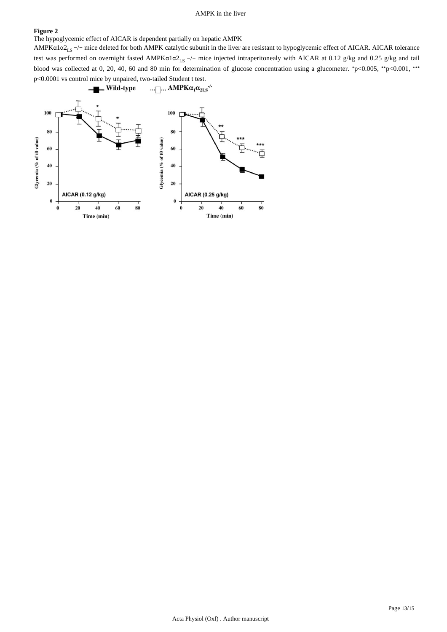## **Figure 2**

The hypoglycemic effect of AICAR is dependent partially on hepatic AMPK

AMPK $\alpha$ 1 $\alpha$ <sub>1.5</sub> -/- mice deleted for both AMPK catalytic subunit in the liver are resistant to hypoglycemic effect of AICAR. AICAR tolerance test was performed on overnight fasted AMPK $\alpha$ 1 $\alpha$ <sub>LS</sub> -/- mice injected intraperitonealy with AICAR at 0.12 g/kg and 0.25 g/kg and tail blood was collected at 0, 20, 40, 60 and 80 min for determination of glucose concentration using a glucometer. \*p<0.005, \*\*p<0.001, \*\*\* p<0.0001 vs control mice by unpaired, two-tailed Student t test.

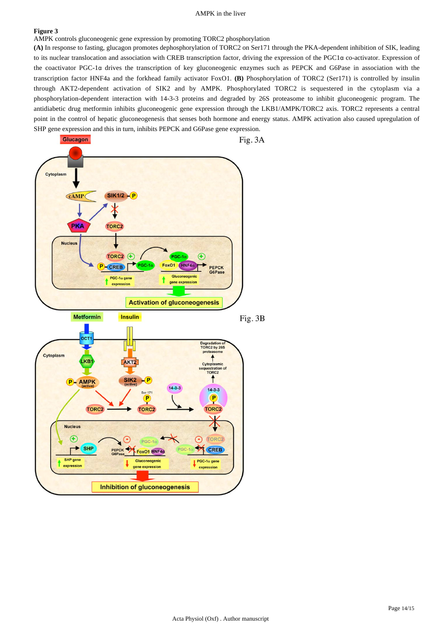### **Figure 3**

AMPK controls gluconeogenic gene expression by promoting TORC2 phosphorylation

**(A)** In response to fasting, glucagon promotes dephosphorylation of TORC2 on Ser171 through the PKA-dependent inhibition of SIK, leading to its nuclear translocation and association with CREB transcription factor, driving the expression of the PGC1α co-activator. Expression of the coactivator PGC-1α drives the transcription of key gluconeogenic enzymes such as PEPCK and G6Pase in association with the transcription factor HNF4a and the forkhead family activator FoxO1. **(B)** Phosphorylation of TORC2 (Ser171) is controlled by insulin through AKT2-dependent activation of SIK2 and by AMPK. Phosphorylated TORC2 is sequestered in the cytoplasm via a phosphorylation-dependent interaction with 14-3-3 proteins and degraded by 26S proteasome to inhibit gluconeogenic program. The antidiabetic drug metformin inhibits gluconeogenic gene expression through the LKB1/AMPK/TORC2 axis. TORC2 represents a central point in the control of hepatic gluconeogenesis that senses both hormone and energy status. AMPK activation also caused upregulation of SHP gene expression and this in turn, inhibits PEPCK and G6Pase gene expression.